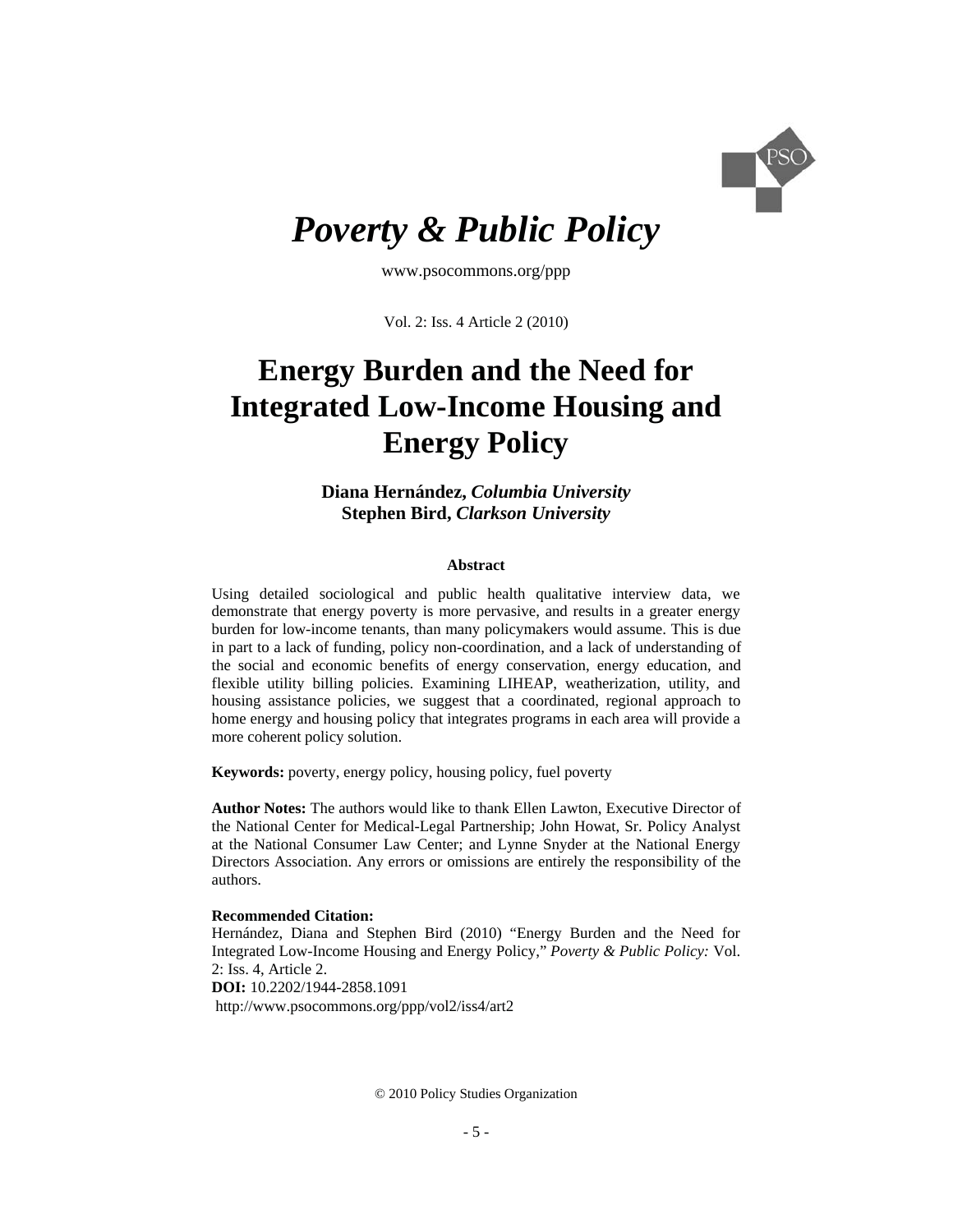

# *Poverty & Public Policy*

www.psocommons.org/ppp

Vol. 2: Iss. 4 Article 2 (2010)

## **Energy Burden and the Need for Integrated Low-Income Housing and Energy Policy**

#### **Diana Hernández,** *Columbia University* **Stephen Bird,** *Clarkson University*

#### **Abstract**

Using detailed sociological and public health qualitative interview data, we demonstrate that energy poverty is more pervasive, and results in a greater energy burden for low-income tenants, than many policymakers would assume. This is due in part to a lack of funding, policy non-coordination, and a lack of understanding of the social and economic benefits of energy conservation, energy education, and flexible utility billing policies. Examining LIHEAP, weatherization, utility, and housing assistance policies, we suggest that a coordinated, regional approach to home energy and housing policy that integrates programs in each area will provide a more coherent policy solution.

**Keywords:** poverty, energy policy, housing policy, fuel poverty

**Author Notes:** The authors would like to thank Ellen Lawton, Executive Director of the National Center for Medical-Legal Partnership; John Howat, Sr. Policy Analyst at the National Consumer Law Center; and Lynne Snyder at the National Energy Directors Association. Any errors or omissions are entirely the responsibility of the authors.

#### **Recommended Citation:**

Hernández, Diana and Stephen Bird (2010) "Energy Burden and the Need for Integrated Low-Income Housing and Energy Policy," *Poverty & Public Policy:* Vol. 2: Iss. 4, Article 2.

**DOI:** 10.2202/1944-2858.1091 http://www.psocommons.org/ppp/vol2/iss4/art2

© 2010 Policy Studies Organization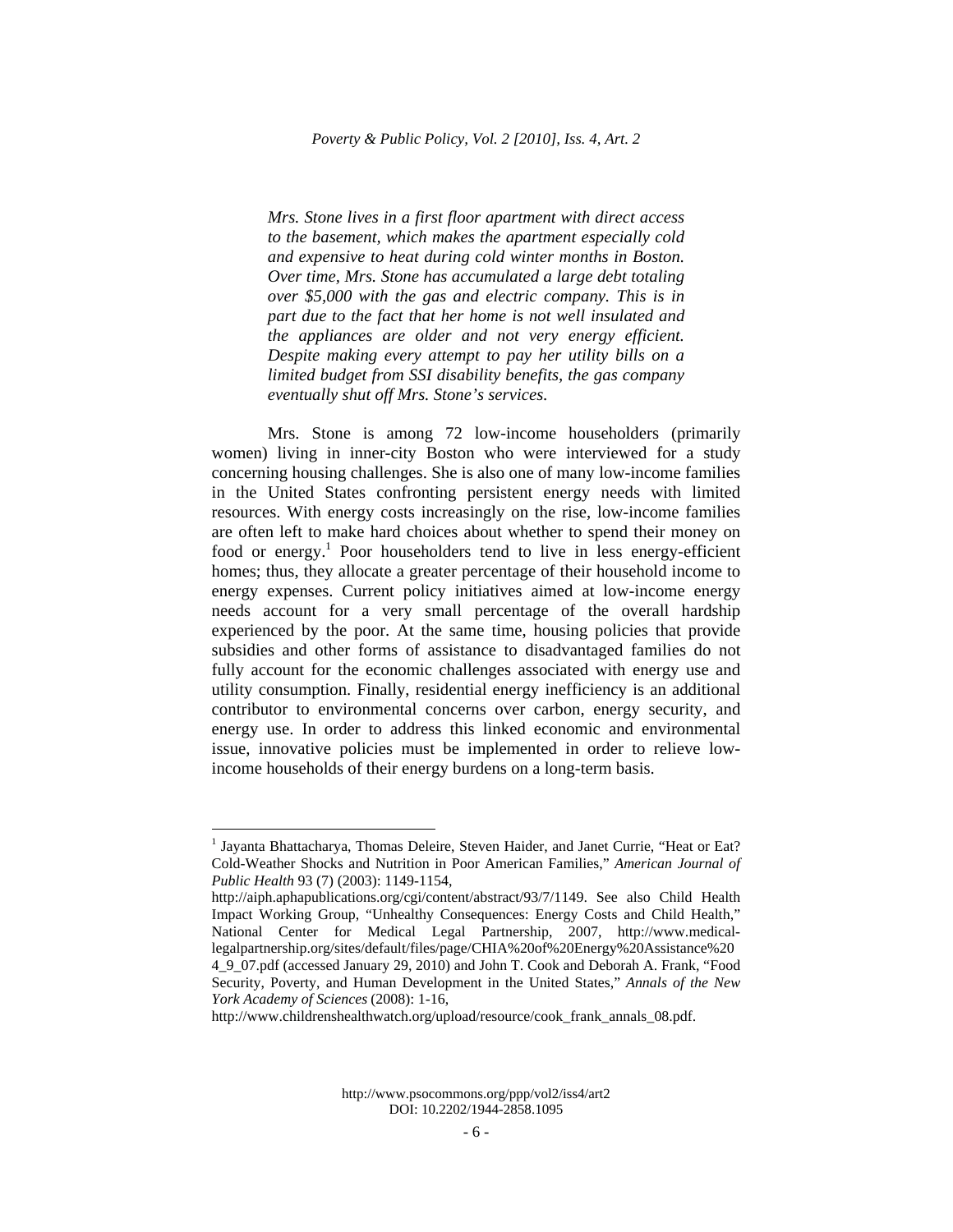*Mrs. Stone lives in a first floor apartment with direct access to the basement, which makes the apartment especially cold and expensive to heat during cold winter months in Boston. Over time, Mrs. Stone has accumulated a large debt totaling over \$5,000 with the gas and electric company. This is in part due to the fact that her home is not well insulated and the appliances are older and not very energy efficient. Despite making every attempt to pay her utility bills on a limited budget from SSI disability benefits, the gas company eventually shut off Mrs. Stone's services.* 

Mrs. Stone is among 72 low-income householders (primarily women) living in inner-city Boston who were interviewed for a study concerning housing challenges. She is also one of many low-income families in the United States confronting persistent energy needs with limited resources. With energy costs increasingly on the rise, low-income families are often left to make hard choices about whether to spend their money on food or energy.<sup>1</sup> Poor householders tend to live in less energy-efficient homes; thus, they allocate a greater percentage of their household income to energy expenses. Current policy initiatives aimed at low-income energy needs account for a very small percentage of the overall hardship experienced by the poor. At the same time, housing policies that provide subsidies and other forms of assistance to disadvantaged families do not fully account for the economic challenges associated with energy use and utility consumption. Finally, residential energy inefficiency is an additional contributor to environmental concerns over carbon, energy security, and energy use. In order to address this linked economic and environmental issue, innovative policies must be implemented in order to relieve lowincome households of their energy burdens on a long-term basis.

 $\overline{a}$ 

<sup>&</sup>lt;sup>1</sup> Jayanta Bhattacharya, Thomas Deleire, Steven Haider, and Janet Currie, "Heat or Eat? Cold-Weather Shocks and Nutrition in Poor American Families," *American Journal of Public Health* 93 (7) (2003): 1149-1154,

http://aiph.aphapublications.org/cgi/content/abstract/93/7/1149. See also Child Health Impact Working Group, "Unhealthy Consequences: Energy Costs and Child Health," National Center for Medical Legal Partnership, 2007, http://www.medicallegalpartnership.org/sites/default/files/page/CHIA%20of%20Energy%20Assistance%20 4\_9\_07.pdf (accessed January 29, 2010) and John T. Cook and Deborah A. Frank, "Food Security, Poverty, and Human Development in the United States," *Annals of the New York Academy of Sciences* (2008): 1-16,

http://www.childrenshealthwatch.org/upload/resource/cook\_frank\_annals\_08.pdf.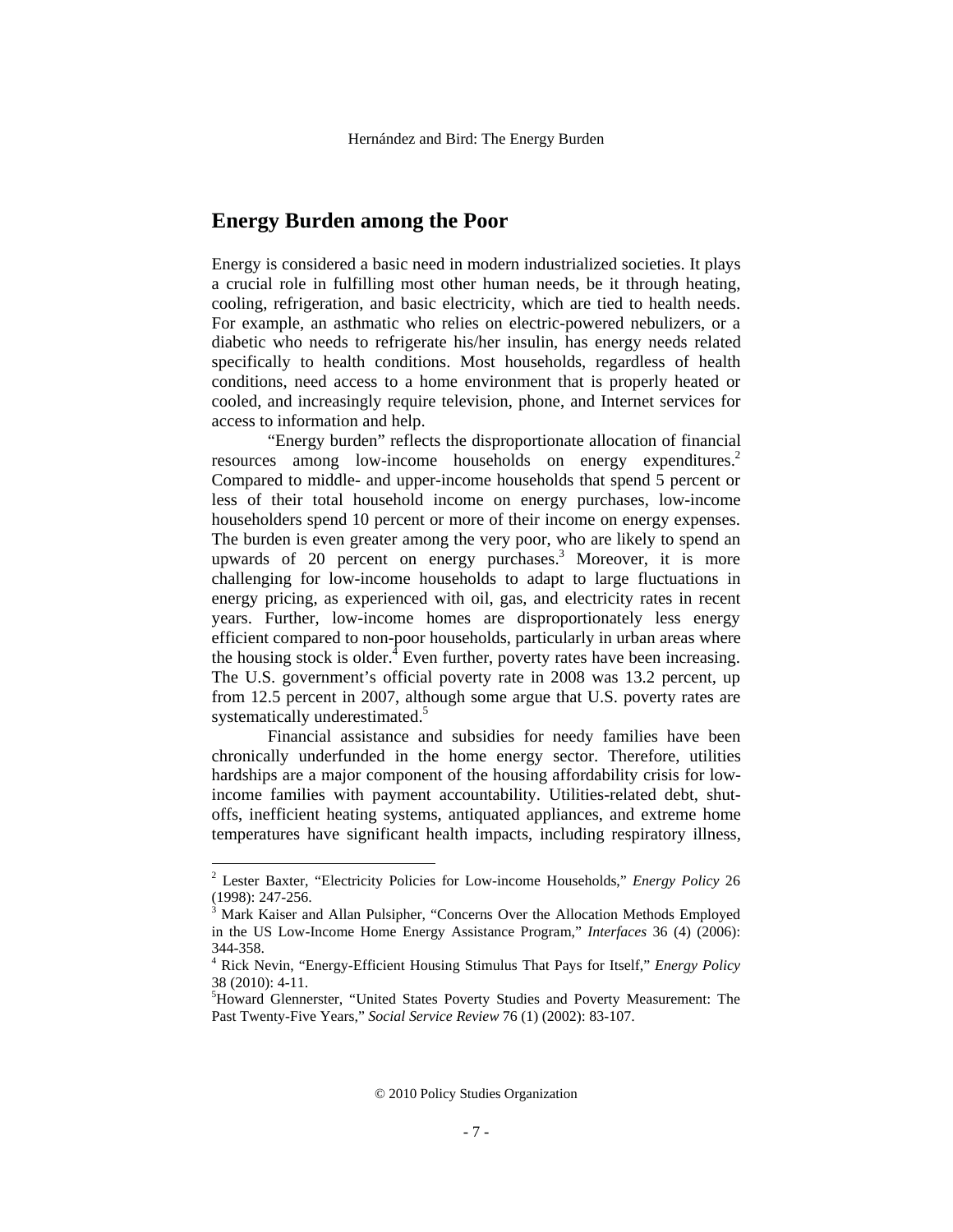#### **Energy Burden among the Poor**

Energy is considered a basic need in modern industrialized societies. It plays a crucial role in fulfilling most other human needs, be it through heating, cooling, refrigeration, and basic electricity, which are tied to health needs. For example, an asthmatic who relies on electric-powered nebulizers, or a diabetic who needs to refrigerate his/her insulin, has energy needs related specifically to health conditions. Most households, regardless of health conditions, need access to a home environment that is properly heated or cooled, and increasingly require television, phone, and Internet services for access to information and help.

"Energy burden" reflects the disproportionate allocation of financial resources among low-income households on energy expenditures.<sup>2</sup> Compared to middle- and upper-income households that spend 5 percent or less of their total household income on energy purchases, low-income householders spend 10 percent or more of their income on energy expenses. The burden is even greater among the very poor, who are likely to spend an upwards of 20 percent on energy purchases.<sup>3</sup> Moreover, it is more challenging for low-income households to adapt to large fluctuations in energy pricing, as experienced with oil, gas, and electricity rates in recent years. Further, low-income homes are disproportionately less energy efficient compared to non-poor households, particularly in urban areas where the housing stock is older. $^4$  Even further, poverty rates have been increasing. The U.S. government's official poverty rate in 2008 was 13.2 percent, up from 12.5 percent in 2007, although some argue that U.S. poverty rates are systematically underestimated.<sup>5</sup>

Financial assistance and subsidies for needy families have been chronically underfunded in the home energy sector. Therefore, utilities hardships are a major component of the housing affordability crisis for lowincome families with payment accountability. Utilities-related debt, shutoffs, inefficient heating systems, antiquated appliances, and extreme home temperatures have significant health impacts, including respiratory illness,

<sup>2</sup> Lester Baxter, "Electricity Policies for Low-income Households," *Energy Policy* 26 (1998): 247-256.

<sup>3</sup> Mark Kaiser and Allan Pulsipher, "Concerns Over the Allocation Methods Employed in the US Low-Income Home Energy Assistance Program," *Interfaces* 36 (4) (2006): 344-358.

<sup>4</sup> Rick Nevin, "Energy-Efficient Housing Stimulus That Pays for Itself," *Energy Policy*  38 (2010): 4-11.

<sup>5</sup> Howard Glennerster, "United States Poverty Studies and Poverty Measurement: The Past Twenty-Five Years," *Social Service Review* 76 (1) (2002): 83-107.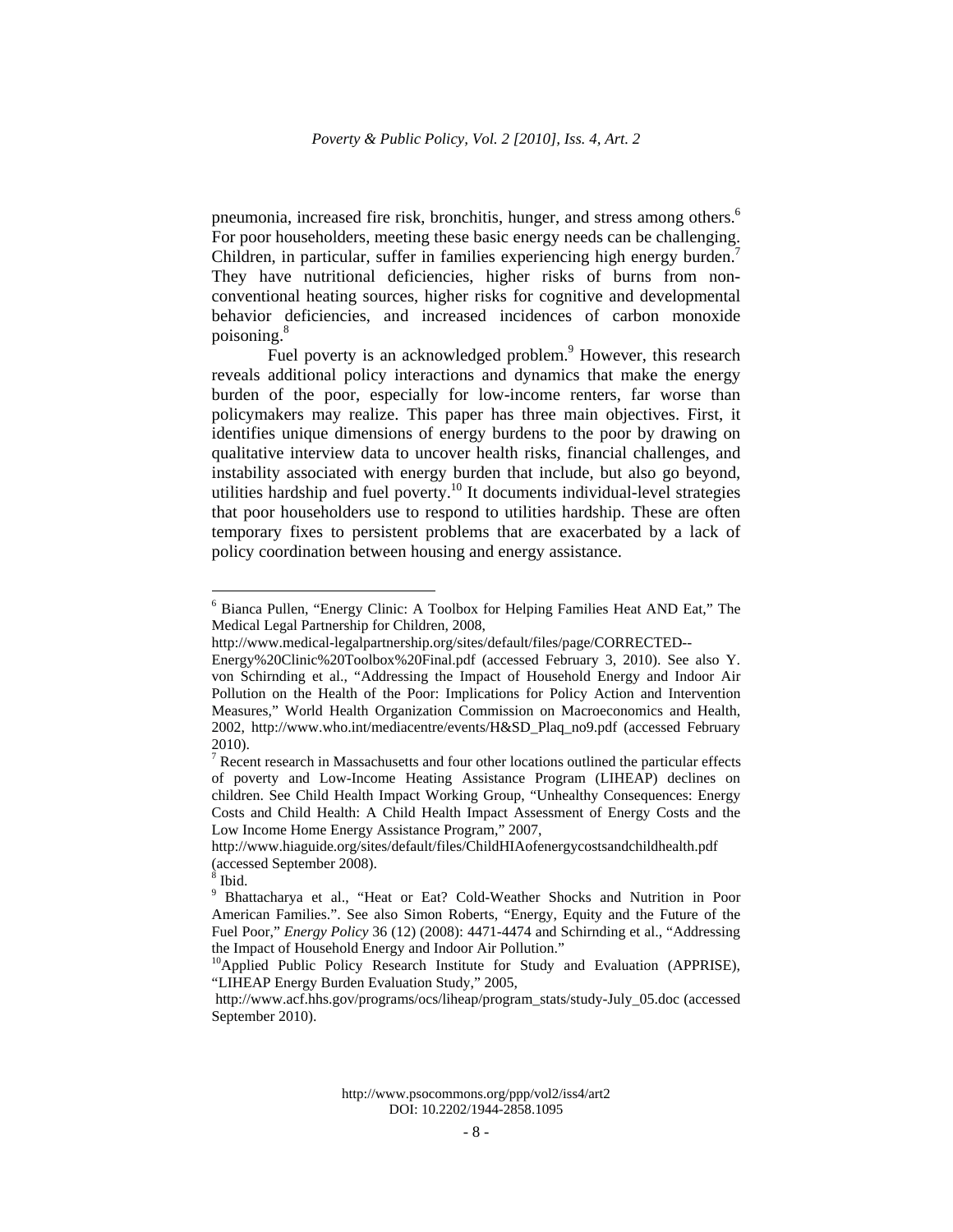pneumonia, increased fire risk, bronchitis, hunger, and stress among others.<sup>6</sup> For poor householders, meeting these basic energy needs can be challenging. Children, in particular, suffer in families experiencing high energy burden.<sup>7</sup> They have nutritional deficiencies, higher risks of burns from nonconventional heating sources, higher risks for cognitive and developmental behavior deficiencies, and increased incidences of carbon monoxide poisoning.<sup>8</sup>

Fuel poverty is an acknowledged problem.<sup>9</sup> However, this research reveals additional policy interactions and dynamics that make the energy burden of the poor, especially for low-income renters, far worse than policymakers may realize. This paper has three main objectives. First, it identifies unique dimensions of energy burdens to the poor by drawing on qualitative interview data to uncover health risks, financial challenges, and instability associated with energy burden that include, but also go beyond, utilities hardship and fuel poverty.<sup>10</sup> It documents individual-level strategies that poor householders use to respond to utilities hardship. These are often temporary fixes to persistent problems that are exacerbated by a lack of policy coordination between housing and energy assistance.

<sup>&</sup>lt;sup>6</sup> Bianca Pullen, "Energy Clinic: A Toolbox for Helping Families Heat AND Eat," The Medical Legal Partnership for Children, 2008,

http://www.medical-legalpartnership.org/sites/default/files/page/CORRECTED--

Energy%20Clinic%20Toolbox%20Final.pdf (accessed February 3, 2010). See also Y. von Schirnding et al., "Addressing the Impact of Household Energy and Indoor Air Pollution on the Health of the Poor: Implications for Policy Action and Intervention Measures," World Health Organization Commission on Macroeconomics and Health, 2002, http://www.who.int/mediacentre/events/H&SD\_Plaq\_no9.pdf (accessed February 2010).

 $7$  Recent research in Massachusetts and four other locations outlined the particular effects of poverty and Low-Income Heating Assistance Program (LIHEAP) declines on children. See Child Health Impact Working Group, "Unhealthy Consequences: Energy Costs and Child Health: A Child Health Impact Assessment of Energy Costs and the Low Income Home Energy Assistance Program," 2007,

http://www.hiaguide.org/sites/default/files/ChildHIAofenergycostsandchildhealth.pdf (accessed September 2008).

<sup>8</sup> Ibid.

<sup>9</sup> Bhattacharya et al., "Heat or Eat? Cold-Weather Shocks and Nutrition in Poor American Families.". See also Simon Roberts, "Energy, Equity and the Future of the Fuel Poor," *Energy Policy* 36 (12) (2008): 4471-4474 and Schirnding et al., "Addressing the Impact of Household Energy and Indoor Air Pollution."

<sup>&</sup>lt;sup>10</sup>Applied Public Policy Research Institute for Study and Evaluation (APPRISE), "LIHEAP Energy Burden Evaluation Study," 2005,

http://www.acf.hhs.gov/programs/ocs/liheap/program\_stats/study-July\_05.doc (accessed September 2010).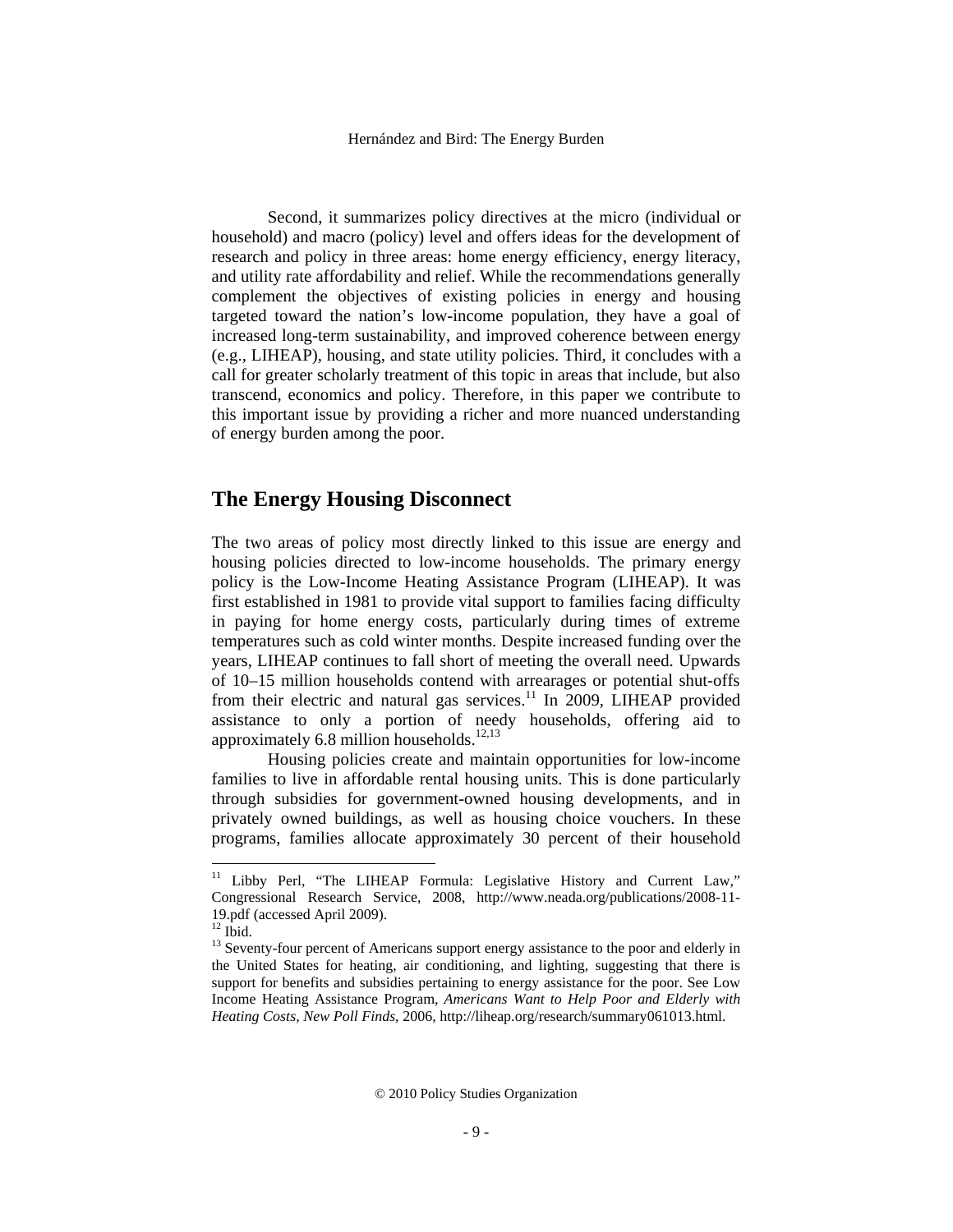Second, it summarizes policy directives at the micro (individual or household) and macro (policy) level and offers ideas for the development of research and policy in three areas: home energy efficiency, energy literacy, and utility rate affordability and relief. While the recommendations generally complement the objectives of existing policies in energy and housing targeted toward the nation's low-income population, they have a goal of increased long-term sustainability, and improved coherence between energy (e.g., LIHEAP), housing, and state utility policies. Third, it concludes with a call for greater scholarly treatment of this topic in areas that include, but also transcend, economics and policy. Therefore, in this paper we contribute to this important issue by providing a richer and more nuanced understanding of energy burden among the poor.

#### **The Energy Housing Disconnect**

The two areas of policy most directly linked to this issue are energy and housing policies directed to low-income households. The primary energy policy is the Low-Income Heating Assistance Program (LIHEAP). It was first established in 1981 to provide vital support to families facing difficulty in paying for home energy costs, particularly during times of extreme temperatures such as cold winter months. Despite increased funding over the years, LIHEAP continues to fall short of meeting the overall need. Upwards of 10–15 million households contend with arrearages or potential shut-offs from their electric and natural gas services.<sup>11</sup> In 2009, LIHEAP provided assistance to only a portion of needy households, offering aid to approximately  $6.8$  million households.<sup>12,13</sup>

Housing policies create and maintain opportunities for low-income families to live in affordable rental housing units. This is done particularly through subsidies for government-owned housing developments, and in privately owned buildings, as well as housing choice vouchers. In these programs, families allocate approximately 30 percent of their household

<sup>&</sup>lt;sup>11</sup> Libby Perl, "The LIHEAP Formula: Legislative History and Current Law," Congressional Research Service, 2008, http://www.neada.org/publications/2008-11- 19.pdf (accessed April 2009).

 $12$  Ibid.

<sup>&</sup>lt;sup>13</sup> Seventy-four percent of Americans support energy assistance to the poor and elderly in the United States for heating, air conditioning, and lighting, suggesting that there is support for benefits and subsidies pertaining to energy assistance for the poor. See Low Income Heating Assistance Program, *Americans Want to Help Poor and Elderly with Heating Costs, New Poll Finds*, 2006, http://liheap.org/research/summary061013.html.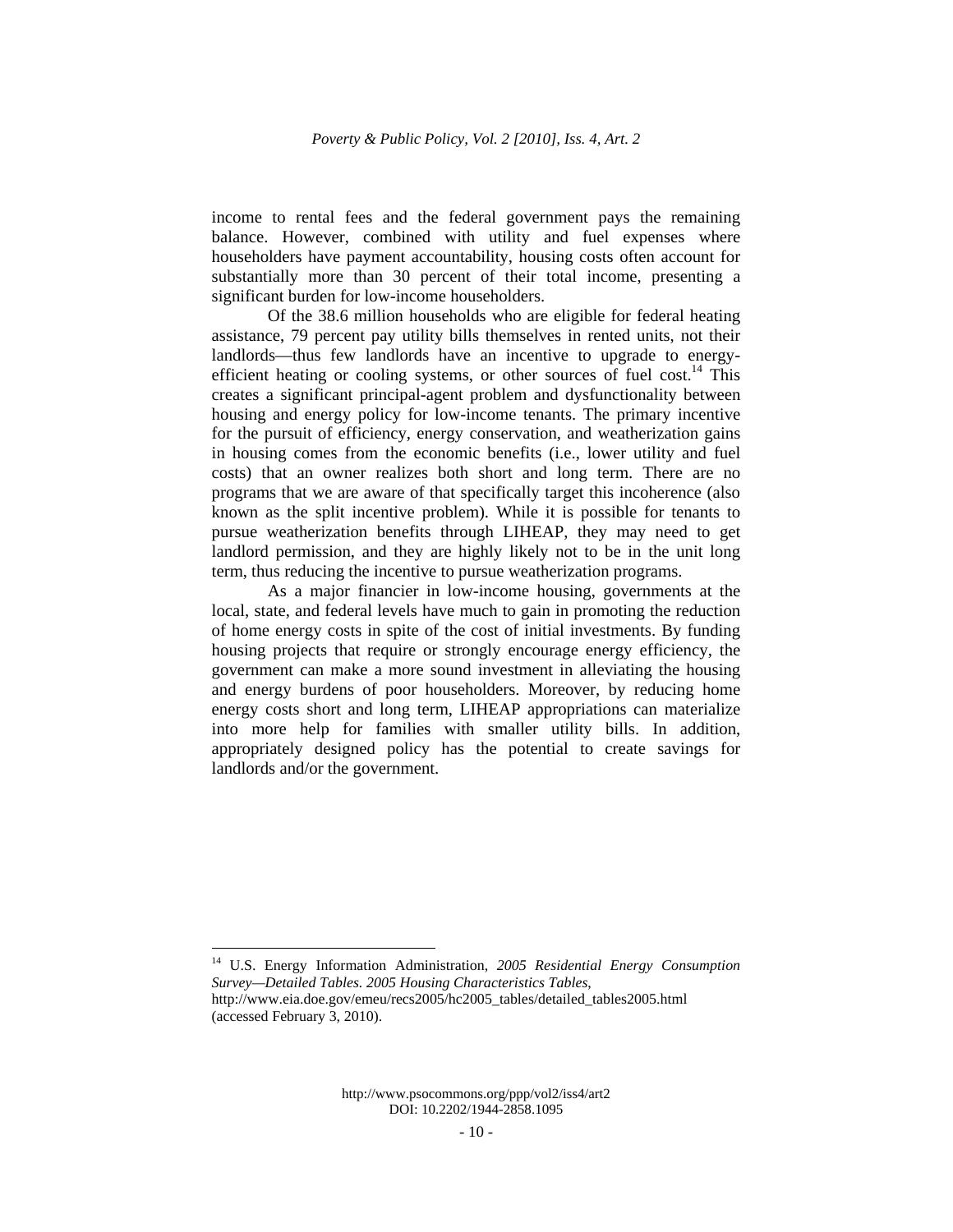income to rental fees and the federal government pays the remaining balance. However, combined with utility and fuel expenses where householders have payment accountability, housing costs often account for substantially more than 30 percent of their total income, presenting a significant burden for low-income householders.

Of the 38.6 million households who are eligible for federal heating assistance, 79 percent pay utility bills themselves in rented units, not their landlords—thus few landlords have an incentive to upgrade to energyefficient heating or cooling systems, or other sources of fuel cost.<sup>14</sup> This creates a significant principal-agent problem and dysfunctionality between housing and energy policy for low-income tenants. The primary incentive for the pursuit of efficiency, energy conservation, and weatherization gains in housing comes from the economic benefits (i.e., lower utility and fuel costs) that an owner realizes both short and long term. There are no programs that we are aware of that specifically target this incoherence (also known as the split incentive problem). While it is possible for tenants to pursue weatherization benefits through LIHEAP, they may need to get landlord permission, and they are highly likely not to be in the unit long term, thus reducing the incentive to pursue weatherization programs.

As a major financier in low-income housing, governments at the local, state, and federal levels have much to gain in promoting the reduction of home energy costs in spite of the cost of initial investments. By funding housing projects that require or strongly encourage energy efficiency, the government can make a more sound investment in alleviating the housing and energy burdens of poor householders. Moreover, by reducing home energy costs short and long term, LIHEAP appropriations can materialize into more help for families with smaller utility bills. In addition, appropriately designed policy has the potential to create savings for landlords and/or the government.

14 U.S. Energy Information Administration, *2005 Residential Energy Consumption Survey—Detailed Tables. 2005 Housing Characteristics Tables*, http://www.eia.doe.gov/emeu/recs2005/hc2005\_tables/detailed\_tables2005.html (accessed February 3, 2010).

 $\overline{a}$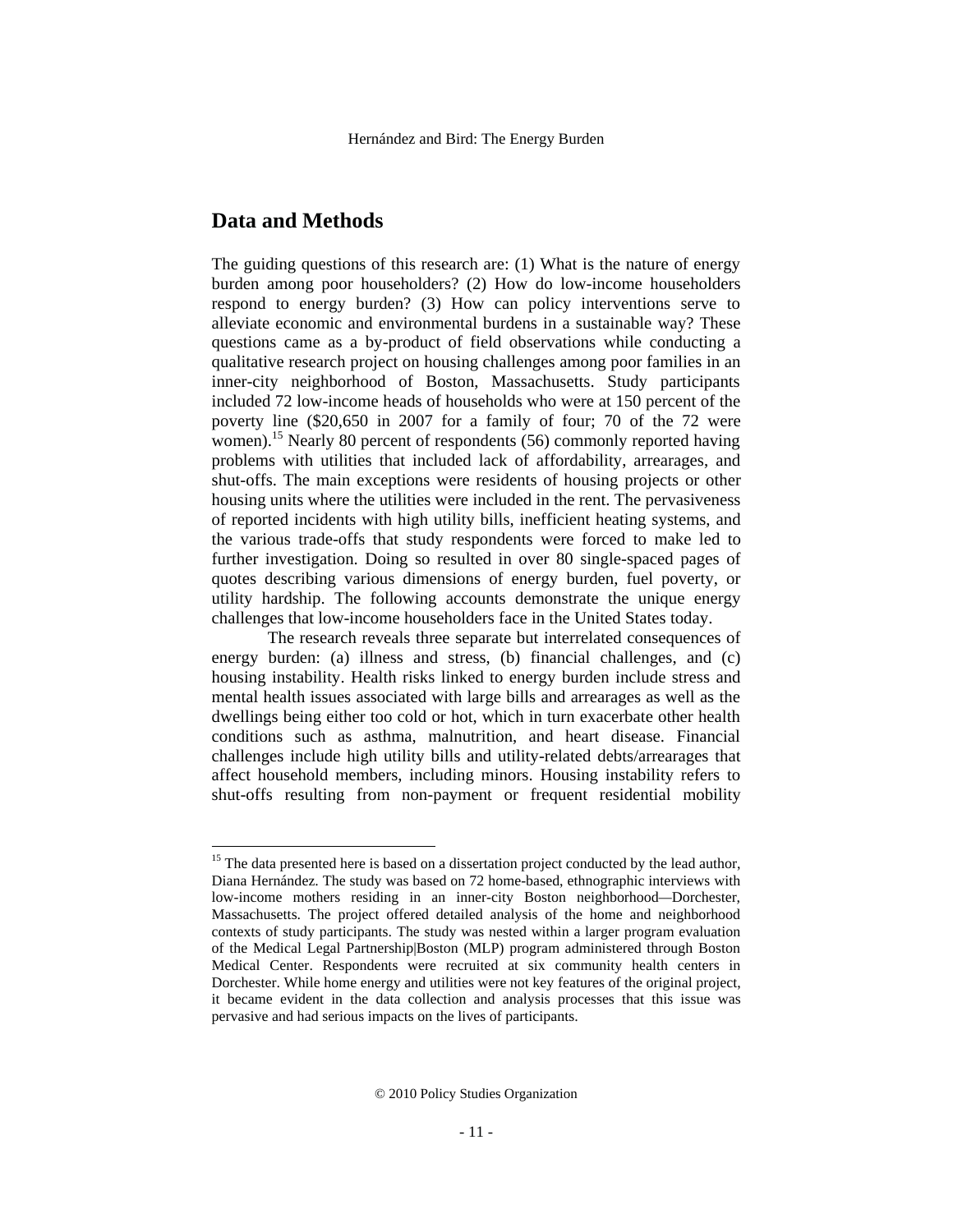#### **Data and Methods**

 $\overline{a}$ 

The guiding questions of this research are: (1) What is the nature of energy burden among poor householders? (2) How do low-income householders respond to energy burden? (3) How can policy interventions serve to alleviate economic and environmental burdens in a sustainable way? These questions came as a by-product of field observations while conducting a qualitative research project on housing challenges among poor families in an inner-city neighborhood of Boston, Massachusetts. Study participants included 72 low-income heads of households who were at 150 percent of the poverty line (\$20,650 in 2007 for a family of four; 70 of the 72 were women).<sup>15</sup> Nearly 80 percent of respondents (56) commonly reported having problems with utilities that included lack of affordability, arrearages, and shut-offs. The main exceptions were residents of housing projects or other housing units where the utilities were included in the rent. The pervasiveness of reported incidents with high utility bills, inefficient heating systems, and the various trade-offs that study respondents were forced to make led to further investigation. Doing so resulted in over 80 single-spaced pages of quotes describing various dimensions of energy burden, fuel poverty, or utility hardship. The following accounts demonstrate the unique energy challenges that low-income householders face in the United States today.

The research reveals three separate but interrelated consequences of energy burden: (a) illness and stress, (b) financial challenges, and (c) housing instability. Health risks linked to energy burden include stress and mental health issues associated with large bills and arrearages as well as the dwellings being either too cold or hot, which in turn exacerbate other health conditions such as asthma, malnutrition, and heart disease. Financial challenges include high utility bills and utility-related debts/arrearages that affect household members, including minors. Housing instability refers to shut-offs resulting from non-payment or frequent residential mobility

 $15$  The data presented here is based on a dissertation project conducted by the lead author, Diana Hernández. The study was based on 72 home-based, ethnographic interviews with low-income mothers residing in an inner-city Boston neighborhood*—*Dorchester, Massachusetts. The project offered detailed analysis of the home and neighborhood contexts of study participants. The study was nested within a larger program evaluation of the Medical Legal Partnership|Boston (MLP) program administered through Boston Medical Center. Respondents were recruited at six community health centers in Dorchester. While home energy and utilities were not key features of the original project, it became evident in the data collection and analysis processes that this issue was pervasive and had serious impacts on the lives of participants.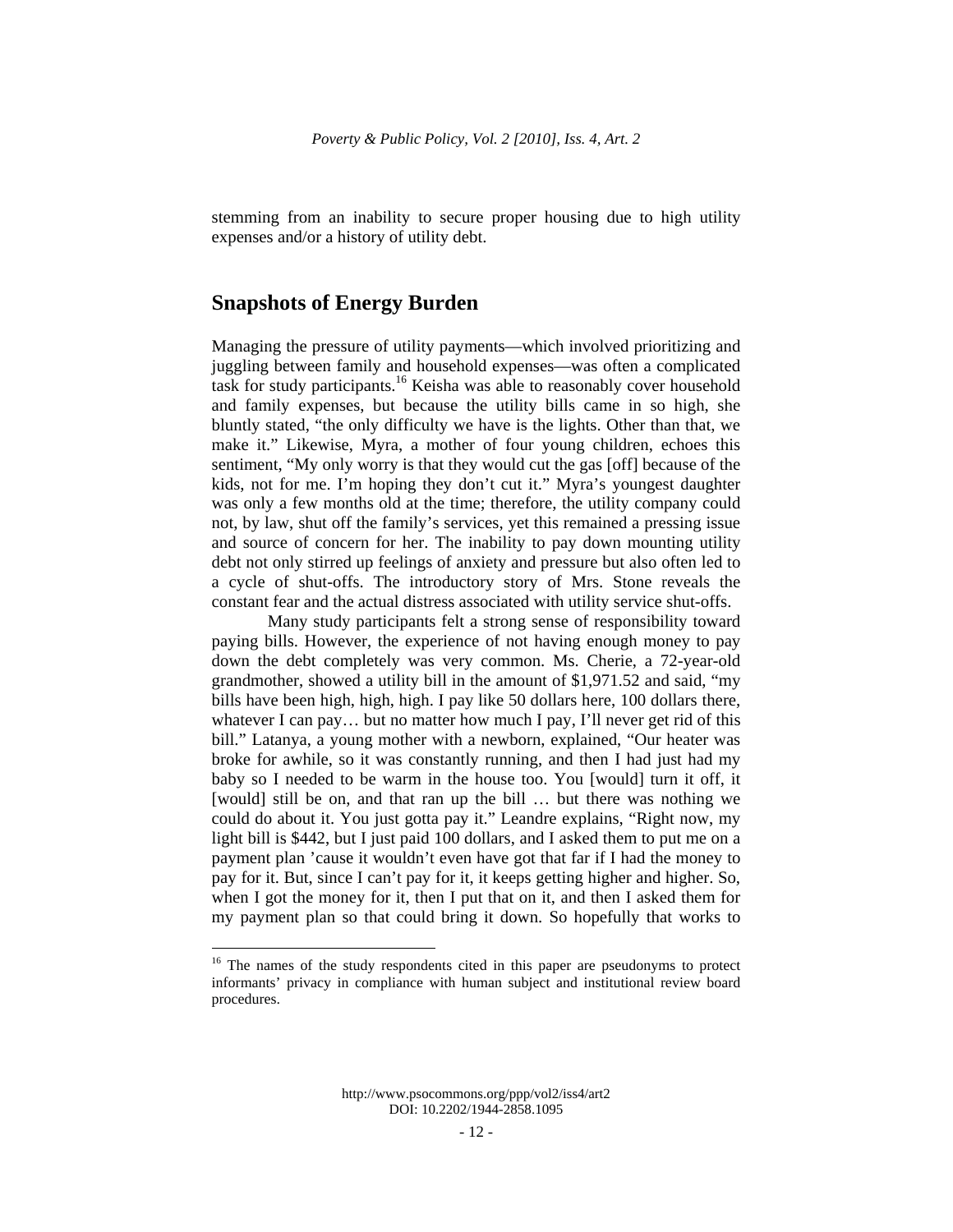stemming from an inability to secure proper housing due to high utility expenses and/or a history of utility debt.

#### **Snapshots of Energy Burden**

 $\overline{a}$ 

Managing the pressure of utility payments—which involved prioritizing and juggling between family and household expenses—was often a complicated task for study participants.16 Keisha was able to reasonably cover household and family expenses, but because the utility bills came in so high, she bluntly stated, "the only difficulty we have is the lights. Other than that, we make it." Likewise, Myra, a mother of four young children, echoes this sentiment, "My only worry is that they would cut the gas [off] because of the kids, not for me. I'm hoping they don't cut it." Myra's youngest daughter was only a few months old at the time; therefore, the utility company could not, by law, shut off the family's services, yet this remained a pressing issue and source of concern for her. The inability to pay down mounting utility debt not only stirred up feelings of anxiety and pressure but also often led to a cycle of shut-offs. The introductory story of Mrs. Stone reveals the constant fear and the actual distress associated with utility service shut-offs.

Many study participants felt a strong sense of responsibility toward paying bills. However, the experience of not having enough money to pay down the debt completely was very common. Ms. Cherie, a 72-year-old grandmother, showed a utility bill in the amount of \$1,971.52 and said, "my bills have been high, high, high. I pay like 50 dollars here, 100 dollars there, whatever I can pay... but no matter how much I pay, I'll never get rid of this bill." Latanya, a young mother with a newborn, explained, "Our heater was broke for awhile, so it was constantly running, and then I had just had my baby so I needed to be warm in the house too. You [would] turn it off, it [would] still be on, and that ran up the bill … but there was nothing we could do about it. You just gotta pay it." Leandre explains, "Right now, my light bill is \$442, but I just paid 100 dollars, and I asked them to put me on a payment plan 'cause it wouldn't even have got that far if I had the money to pay for it. But, since I can't pay for it, it keeps getting higher and higher. So, when I got the money for it, then I put that on it, and then I asked them for my payment plan so that could bring it down. So hopefully that works to

<sup>&</sup>lt;sup>16</sup> The names of the study respondents cited in this paper are pseudonyms to protect informants' privacy in compliance with human subject and institutional review board procedures.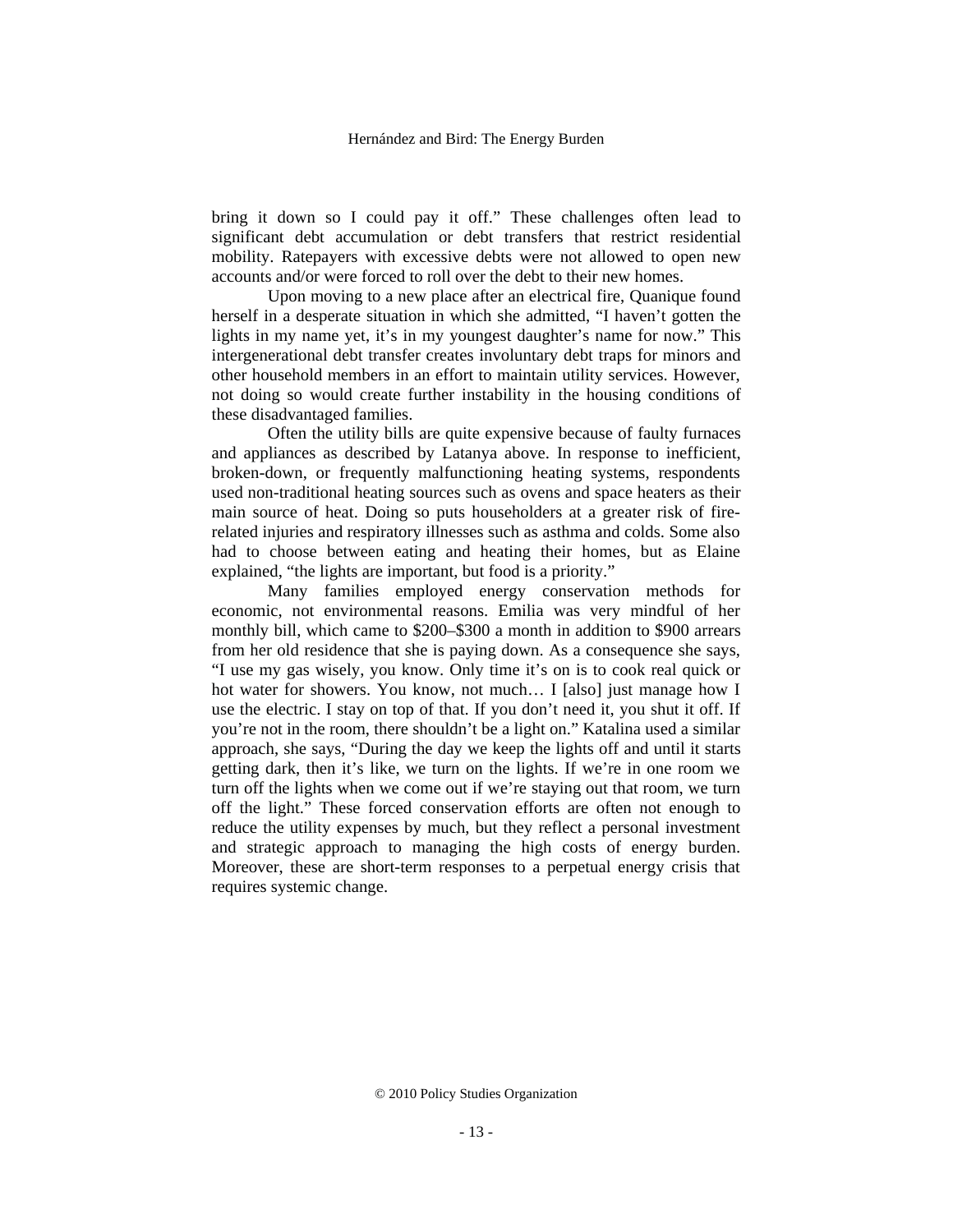bring it down so I could pay it off." These challenges often lead to significant debt accumulation or debt transfers that restrict residential mobility. Ratepayers with excessive debts were not allowed to open new accounts and/or were forced to roll over the debt to their new homes.

Upon moving to a new place after an electrical fire, Quanique found herself in a desperate situation in which she admitted, "I haven't gotten the lights in my name yet, it's in my youngest daughter's name for now." This intergenerational debt transfer creates involuntary debt traps for minors and other household members in an effort to maintain utility services. However, not doing so would create further instability in the housing conditions of these disadvantaged families.

Often the utility bills are quite expensive because of faulty furnaces and appliances as described by Latanya above. In response to inefficient, broken-down, or frequently malfunctioning heating systems, respondents used non-traditional heating sources such as ovens and space heaters as their main source of heat. Doing so puts householders at a greater risk of firerelated injuries and respiratory illnesses such as asthma and colds. Some also had to choose between eating and heating their homes, but as Elaine explained, "the lights are important, but food is a priority."

Many families employed energy conservation methods for economic, not environmental reasons. Emilia was very mindful of her monthly bill, which came to \$200–\$300 a month in addition to \$900 arrears from her old residence that she is paying down. As a consequence she says, "I use my gas wisely, you know. Only time it's on is to cook real quick or hot water for showers. You know, not much... I [also] just manage how I use the electric. I stay on top of that. If you don't need it, you shut it off. If you're not in the room, there shouldn't be a light on." Katalina used a similar approach, she says, "During the day we keep the lights off and until it starts getting dark, then it's like, we turn on the lights. If we're in one room we turn off the lights when we come out if we're staying out that room, we turn off the light." These forced conservation efforts are often not enough to reduce the utility expenses by much, but they reflect a personal investment and strategic approach to managing the high costs of energy burden. Moreover, these are short-term responses to a perpetual energy crisis that requires systemic change.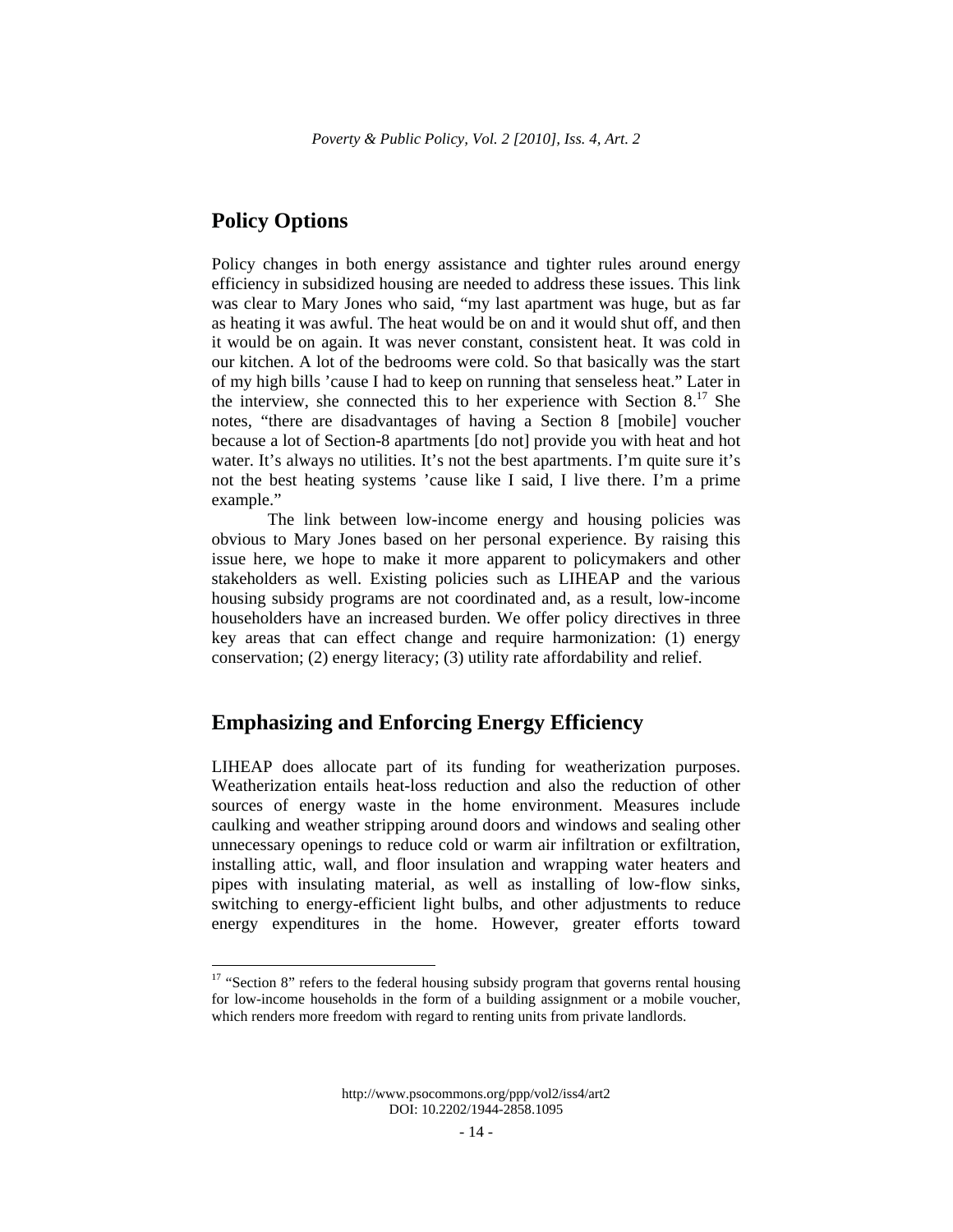#### **Policy Options**

 $\overline{a}$ 

Policy changes in both energy assistance and tighter rules around energy efficiency in subsidized housing are needed to address these issues. This link was clear to Mary Jones who said, "my last apartment was huge, but as far as heating it was awful. The heat would be on and it would shut off, and then it would be on again. It was never constant, consistent heat. It was cold in our kitchen. A lot of the bedrooms were cold. So that basically was the start of my high bills 'cause I had to keep on running that senseless heat." Later in the interview, she connected this to her experience with Section  $8<sup>17</sup>$  She notes, "there are disadvantages of having a Section 8 [mobile] voucher because a lot of Section-8 apartments [do not] provide you with heat and hot water. It's always no utilities. It's not the best apartments. I'm quite sure it's not the best heating systems 'cause like I said, I live there. I'm a prime example."

The link between low-income energy and housing policies was obvious to Mary Jones based on her personal experience. By raising this issue here, we hope to make it more apparent to policymakers and other stakeholders as well. Existing policies such as LIHEAP and the various housing subsidy programs are not coordinated and, as a result, low-income householders have an increased burden. We offer policy directives in three key areas that can effect change and require harmonization: (1) energy conservation; (2) energy literacy; (3) utility rate affordability and relief.

#### **Emphasizing and Enforcing Energy Efficiency**

LIHEAP does allocate part of its funding for weatherization purposes. Weatherization entails heat-loss reduction and also the reduction of other sources of energy waste in the home environment. Measures include caulking and weather stripping around doors and windows and sealing other unnecessary openings to reduce cold or warm air infiltration or exfiltration, installing attic, wall, and floor insulation and wrapping water heaters and pipes with insulating material, as well as installing of low-flow sinks, switching to energy-efficient light bulbs, and other adjustments to reduce energy expenditures in the home. However, greater efforts toward

 $17$  "Section 8" refers to the federal housing subsidy program that governs rental housing for low-income households in the form of a building assignment or a mobile voucher, which renders more freedom with regard to renting units from private landlords.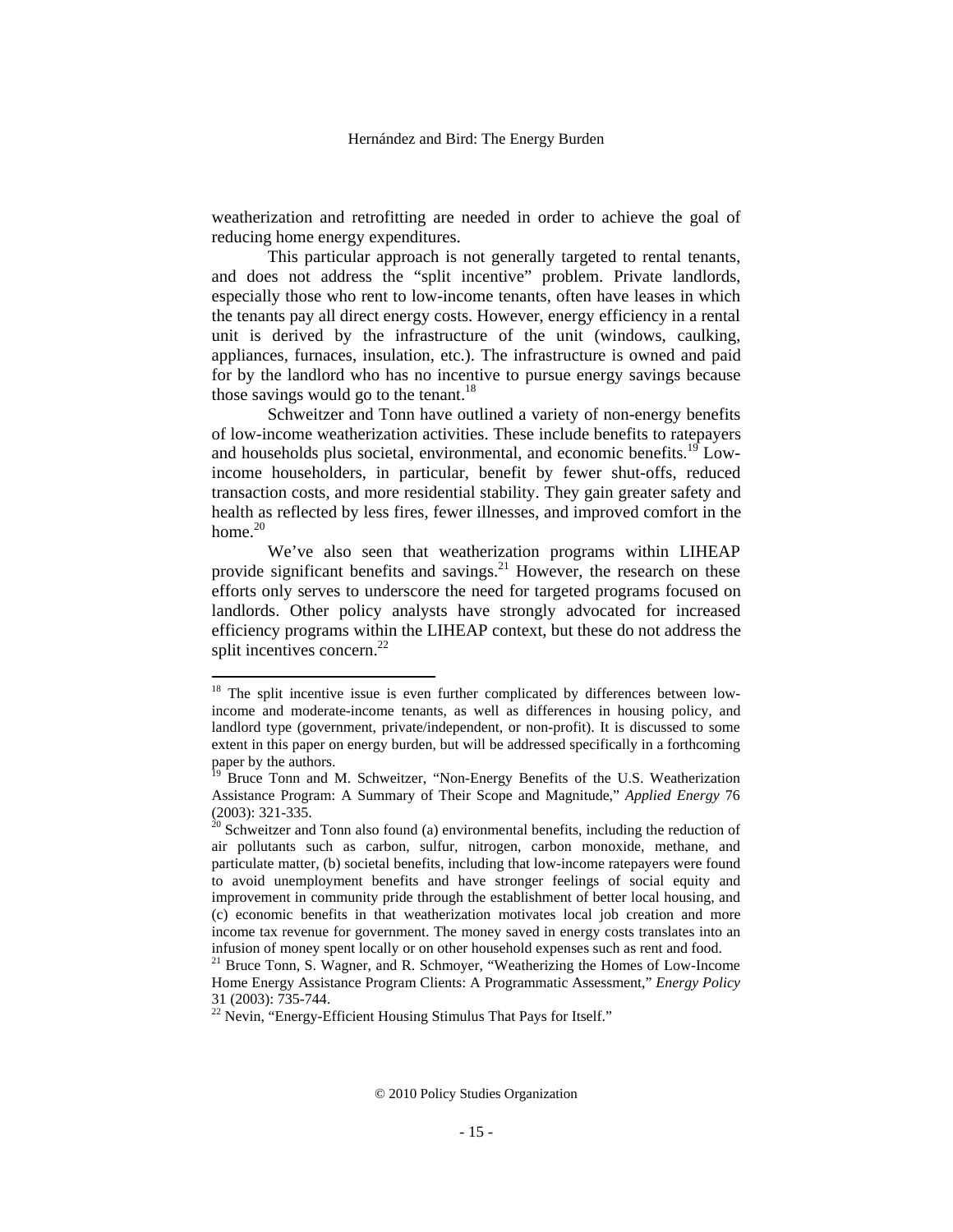weatherization and retrofitting are needed in order to achieve the goal of reducing home energy expenditures.

This particular approach is not generally targeted to rental tenants, and does not address the "split incentive" problem. Private landlords, especially those who rent to low-income tenants, often have leases in which the tenants pay all direct energy costs. However, energy efficiency in a rental unit is derived by the infrastructure of the unit (windows, caulking, appliances, furnaces, insulation, etc.). The infrastructure is owned and paid for by the landlord who has no incentive to pursue energy savings because those savings would go to the tenant.<sup>18</sup>

Schweitzer and Tonn have outlined a variety of non-energy benefits of low-income weatherization activities. These include benefits to ratepayers and households plus societal, environmental, and economic benefits.<sup>19</sup> Lowincome householders, in particular, benefit by fewer shut-offs, reduced transaction costs, and more residential stability. They gain greater safety and health as reflected by less fires, fewer illnesses, and improved comfort in the home.<sup>20</sup>

We've also seen that weatherization programs within LIHEAP provide significant benefits and savings. $^{21}$  However, the research on these efforts only serves to underscore the need for targeted programs focused on landlords. Other policy analysts have strongly advocated for increased efficiency programs within the LIHEAP context, but these do not address the split incentives concern. $^{22}$ 

<sup>&</sup>lt;sup>18</sup> The split incentive issue is even further complicated by differences between lowincome and moderate-income tenants, as well as differences in housing policy, and landlord type (government, private/independent, or non-profit). It is discussed to some extent in this paper on energy burden, but will be addressed specifically in a forthcoming paper by the authors.

<sup>&</sup>lt;sup>19</sup> Bruce Tonn and M. Schweitzer, "Non-Energy Benefits of the U.S. Weatherization Assistance Program: A Summary of Their Scope and Magnitude," *Applied Energy* 76 (2003): 321-335.

 $20$  Schweitzer and Tonn also found (a) environmental benefits, including the reduction of air pollutants such as carbon, sulfur, nitrogen, carbon monoxide, methane, and particulate matter, (b) societal benefits, including that low-income ratepayers were found to avoid unemployment benefits and have stronger feelings of social equity and improvement in community pride through the establishment of better local housing, and (c) economic benefits in that weatherization motivates local job creation and more income tax revenue for government. The money saved in energy costs translates into an infusion of money spent locally or on other household expenses such as rent and food.

<sup>&</sup>lt;sup>21</sup> Bruce Tonn, S. Wagner, and R. Schmoyer, "Weatherizing the Homes of Low-Income Home Energy Assistance Program Clients: A Programmatic Assessment," *Energy Policy*  31 (2003): 735-744.

 $22$  Nevin, "Energy-Efficient Housing Stimulus That Pays for Itself."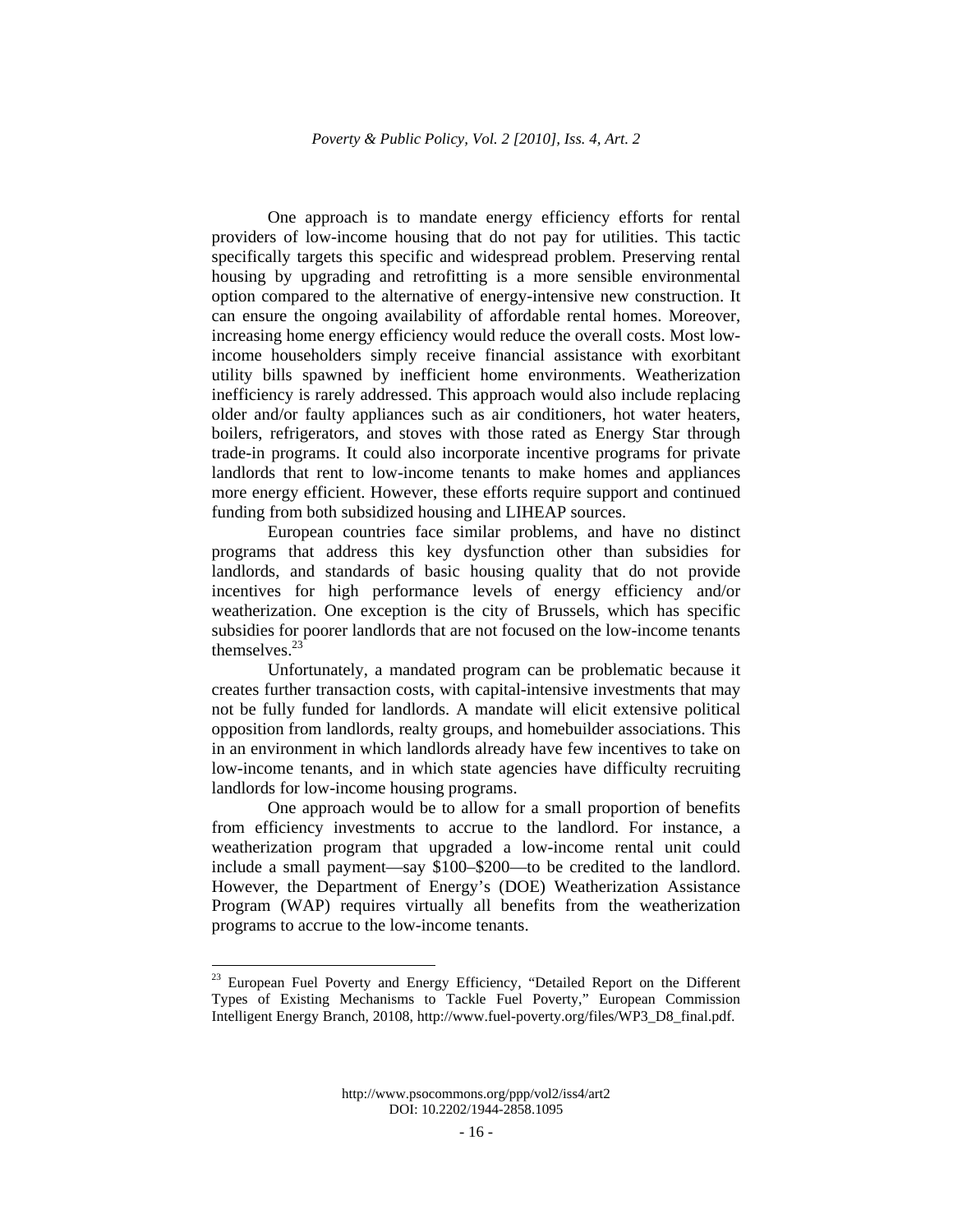One approach is to mandate energy efficiency efforts for rental providers of low-income housing that do not pay for utilities. This tactic specifically targets this specific and widespread problem. Preserving rental housing by upgrading and retrofitting is a more sensible environmental option compared to the alternative of energy-intensive new construction. It can ensure the ongoing availability of affordable rental homes. Moreover, increasing home energy efficiency would reduce the overall costs. Most lowincome householders simply receive financial assistance with exorbitant utility bills spawned by inefficient home environments. Weatherization inefficiency is rarely addressed. This approach would also include replacing older and/or faulty appliances such as air conditioners, hot water heaters, boilers, refrigerators, and stoves with those rated as Energy Star through trade-in programs. It could also incorporate incentive programs for private landlords that rent to low-income tenants to make homes and appliances more energy efficient. However, these efforts require support and continued funding from both subsidized housing and LIHEAP sources.

European countries face similar problems, and have no distinct programs that address this key dysfunction other than subsidies for landlords, and standards of basic housing quality that do not provide incentives for high performance levels of energy efficiency and/or weatherization. One exception is the city of Brussels, which has specific subsidies for poorer landlords that are not focused on the low-income tenants themselves.<sup>23</sup>

Unfortunately, a mandated program can be problematic because it creates further transaction costs, with capital-intensive investments that may not be fully funded for landlords. A mandate will elicit extensive political opposition from landlords, realty groups, and homebuilder associations. This in an environment in which landlords already have few incentives to take on low-income tenants, and in which state agencies have difficulty recruiting landlords for low-income housing programs.

One approach would be to allow for a small proportion of benefits from efficiency investments to accrue to the landlord. For instance, a weatherization program that upgraded a low-income rental unit could include a small payment—say \$100–\$200—to be credited to the landlord. However, the Department of Energy's (DOE) Weatherization Assistance Program (WAP) requires virtually all benefits from the weatherization programs to accrue to the low-income tenants.

 $\overline{a}$ 

<sup>&</sup>lt;sup>23</sup> European Fuel Poverty and Energy Efficiency, "Detailed Report on the Different Types of Existing Mechanisms to Tackle Fuel Poverty," European Commission Intelligent Energy Branch, 20108, http://www.fuel-poverty.org/files/WP3\_D8\_final.pdf.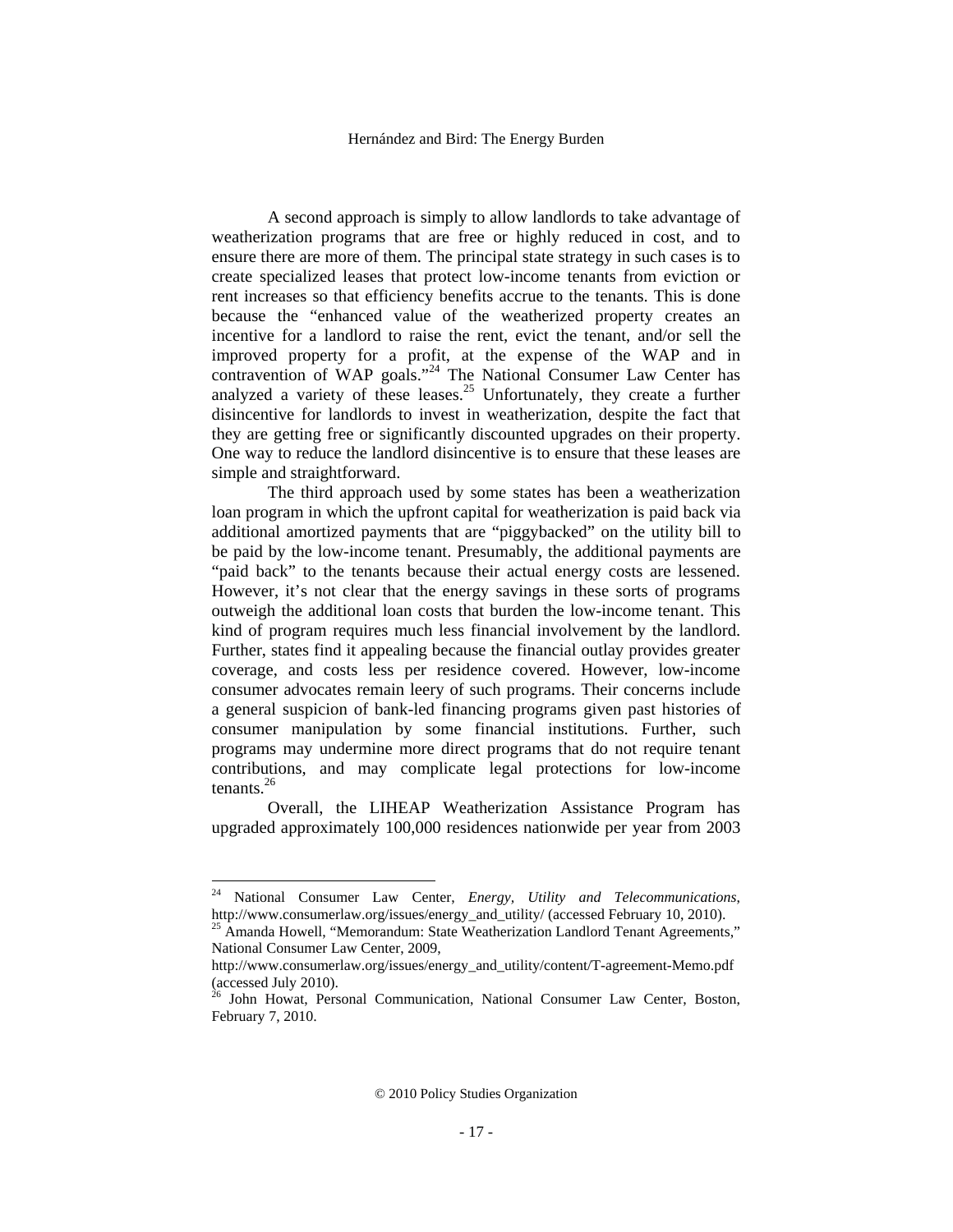A second approach is simply to allow landlords to take advantage of weatherization programs that are free or highly reduced in cost, and to ensure there are more of them. The principal state strategy in such cases is to create specialized leases that protect low-income tenants from eviction or rent increases so that efficiency benefits accrue to the tenants. This is done because the "enhanced value of the weatherized property creates an incentive for a landlord to raise the rent, evict the tenant, and/or sell the improved property for a profit, at the expense of the WAP and in contravention of WAP goals."<sup>24</sup> The National Consumer Law Center has analyzed a variety of these leases.<sup>25</sup> Unfortunately, they create a further disincentive for landlords to invest in weatherization, despite the fact that they are getting free or significantly discounted upgrades on their property. One way to reduce the landlord disincentive is to ensure that these leases are simple and straightforward.

The third approach used by some states has been a weatherization loan program in which the upfront capital for weatherization is paid back via additional amortized payments that are "piggybacked" on the utility bill to be paid by the low-income tenant. Presumably, the additional payments are "paid back" to the tenants because their actual energy costs are lessened. However, it's not clear that the energy savings in these sorts of programs outweigh the additional loan costs that burden the low-income tenant. This kind of program requires much less financial involvement by the landlord. Further, states find it appealing because the financial outlay provides greater coverage, and costs less per residence covered. However, low-income consumer advocates remain leery of such programs. Their concerns include a general suspicion of bank-led financing programs given past histories of consumer manipulation by some financial institutions. Further, such programs may undermine more direct programs that do not require tenant contributions, and may complicate legal protections for low-income tenants. $^{26}$ 

Overall, the LIHEAP Weatherization Assistance Program has upgraded approximately 100,000 residences nationwide per year from 2003

<sup>24</sup> National Consumer Law Center, *Energy, Utility and Telecommunications*, http://www.consumerlaw.org/issues/energy\_and\_utility/ (accessed February 10, 2010).

<sup>&</sup>lt;sup>25</sup> Amanda Howell, "Memorandum: State Weatherization Landlord Tenant Agreements," National Consumer Law Center, 2009,

http://www.consumerlaw.org/issues/energy\_and\_utility/content/T-agreement-Memo.pdf (accessed July 2010).

<sup>&</sup>lt;sup>26</sup> John Howat, Personal Communication, National Consumer Law Center, Boston, February 7, 2010.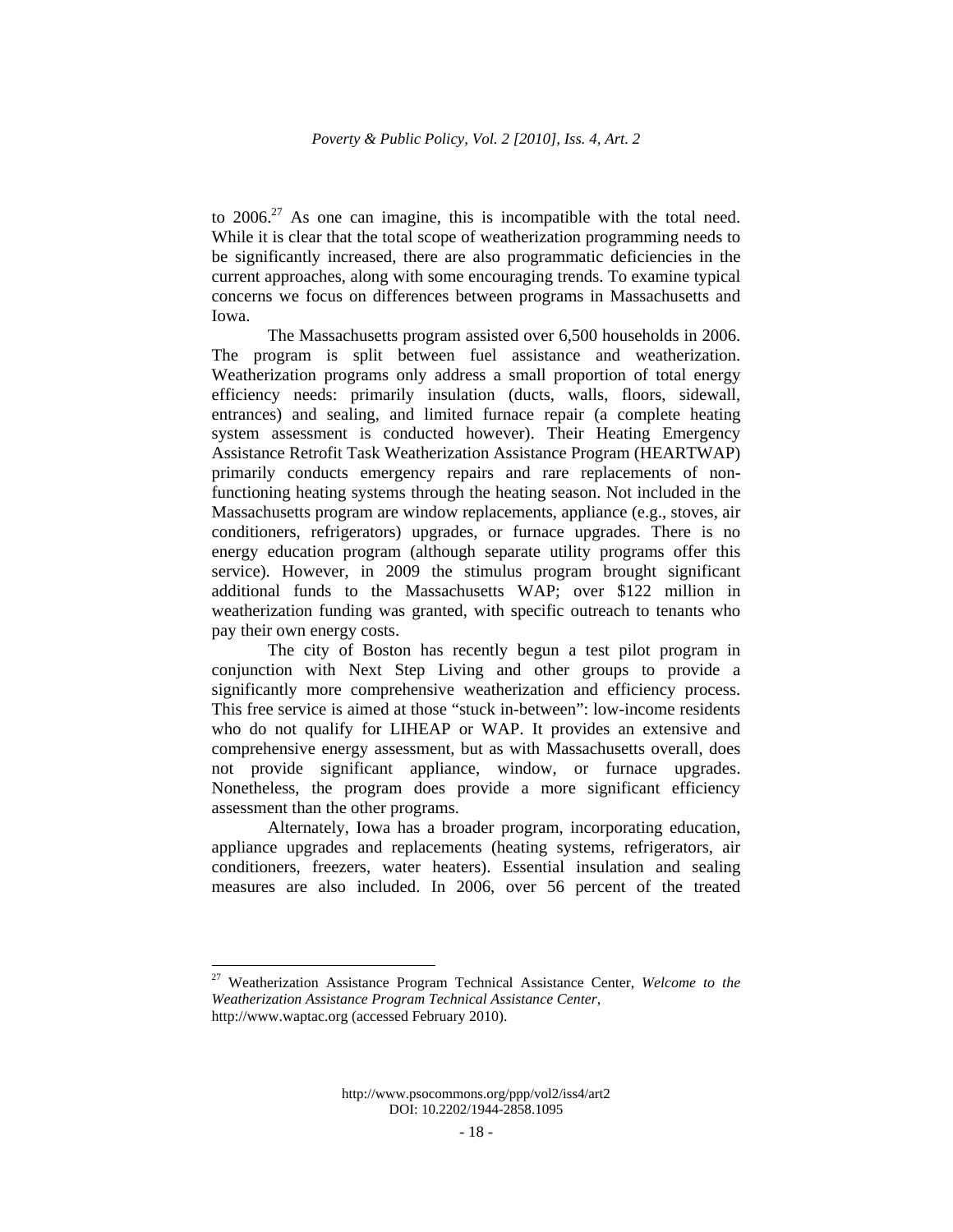to  $2006<sup>27</sup>$  As one can imagine, this is incompatible with the total need. While it is clear that the total scope of weatherization programming needs to be significantly increased, there are also programmatic deficiencies in the current approaches, along with some encouraging trends. To examine typical concerns we focus on differences between programs in Massachusetts and Iowa.

The Massachusetts program assisted over 6,500 households in 2006. The program is split between fuel assistance and weatherization. Weatherization programs only address a small proportion of total energy efficiency needs: primarily insulation (ducts, walls, floors, sidewall, entrances) and sealing, and limited furnace repair (a complete heating system assessment is conducted however). Their Heating Emergency Assistance Retrofit Task Weatherization Assistance Program (HEARTWAP) primarily conducts emergency repairs and rare replacements of nonfunctioning heating systems through the heating season. Not included in the Massachusetts program are window replacements, appliance (e.g., stoves, air conditioners, refrigerators) upgrades, or furnace upgrades. There is no energy education program (although separate utility programs offer this service). However, in 2009 the stimulus program brought significant additional funds to the Massachusetts WAP; over \$122 million in weatherization funding was granted, with specific outreach to tenants who pay their own energy costs.

The city of Boston has recently begun a test pilot program in conjunction with Next Step Living and other groups to provide a significantly more comprehensive weatherization and efficiency process. This free service is aimed at those "stuck in-between": low-income residents who do not qualify for LIHEAP or WAP. It provides an extensive and comprehensive energy assessment, but as with Massachusetts overall, does not provide significant appliance, window, or furnace upgrades. Nonetheless, the program does provide a more significant efficiency assessment than the other programs.

Alternately, Iowa has a broader program, incorporating education, appliance upgrades and replacements (heating systems, refrigerators, air conditioners, freezers, water heaters). Essential insulation and sealing measures are also included. In 2006, over 56 percent of the treated

27 Weatherization Assistance Program Technical Assistance Center, *Welcome to the Weatherization Assistance Program Technical Assistance Center*, http://www.waptac.org (accessed February 2010).

 $\overline{a}$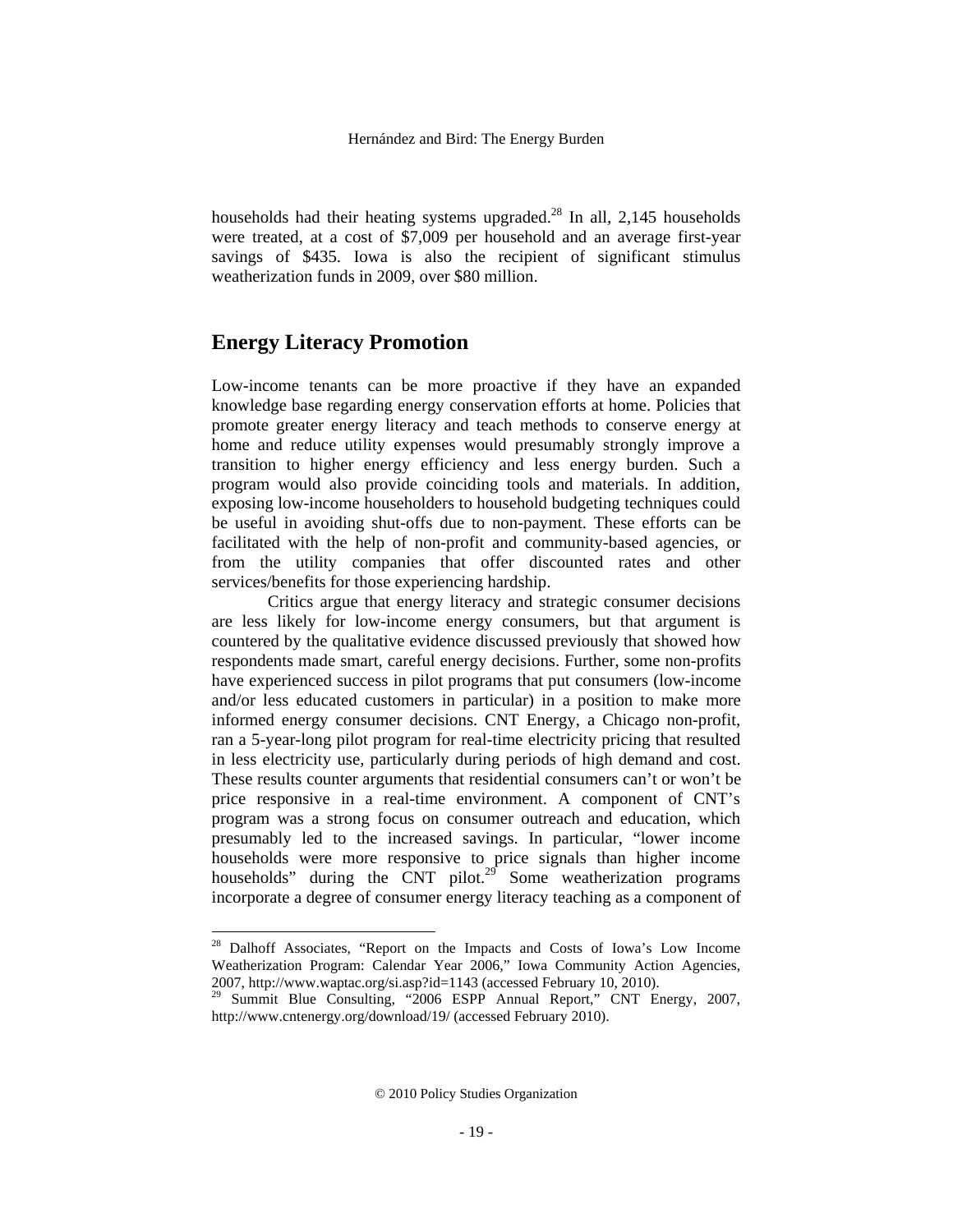households had their heating systems upgraded.<sup>28</sup> In all, 2,145 households were treated, at a cost of \$7,009 per household and an average first-year savings of \$435. Iowa is also the recipient of significant stimulus weatherization funds in 2009, over \$80 million.

#### **Energy Literacy Promotion**

-

Low-income tenants can be more proactive if they have an expanded knowledge base regarding energy conservation efforts at home. Policies that promote greater energy literacy and teach methods to conserve energy at home and reduce utility expenses would presumably strongly improve a transition to higher energy efficiency and less energy burden. Such a program would also provide coinciding tools and materials. In addition, exposing low-income householders to household budgeting techniques could be useful in avoiding shut-offs due to non-payment. These efforts can be facilitated with the help of non-profit and community-based agencies, or from the utility companies that offer discounted rates and other services/benefits for those experiencing hardship.

Critics argue that energy literacy and strategic consumer decisions are less likely for low-income energy consumers, but that argument is countered by the qualitative evidence discussed previously that showed how respondents made smart, careful energy decisions. Further, some non-profits have experienced success in pilot programs that put consumers (low-income and/or less educated customers in particular) in a position to make more informed energy consumer decisions. CNT Energy, a Chicago non-profit, ran a 5-year-long pilot program for real-time electricity pricing that resulted in less electricity use, particularly during periods of high demand and cost. These results counter arguments that residential consumers can't or won't be price responsive in a real-time environment. A component of CNT's program was a strong focus on consumer outreach and education, which presumably led to the increased savings. In particular, "lower income households were more responsive to price signals than higher income households" during the  $\overrightarrow{CNT}$  pilot.<sup>29</sup> Some weatherization programs incorporate a degree of consumer energy literacy teaching as a component of

<sup>&</sup>lt;sup>28</sup> Dalhoff Associates, "Report on the Impacts and Costs of Iowa's Low Income Weatherization Program: Calendar Year 2006," Iowa Community Action Agencies, 2007, http://www.waptac.org/si.asp?id=1143 (accessed February 10, 2010).

<sup>2007,</sup> mp. www.mepar.org/simip.in The Consulting, "2006 ESPP Annual Report," CNT Energy, 2007, http://www.cntenergy.org/download/19/ (accessed February 2010).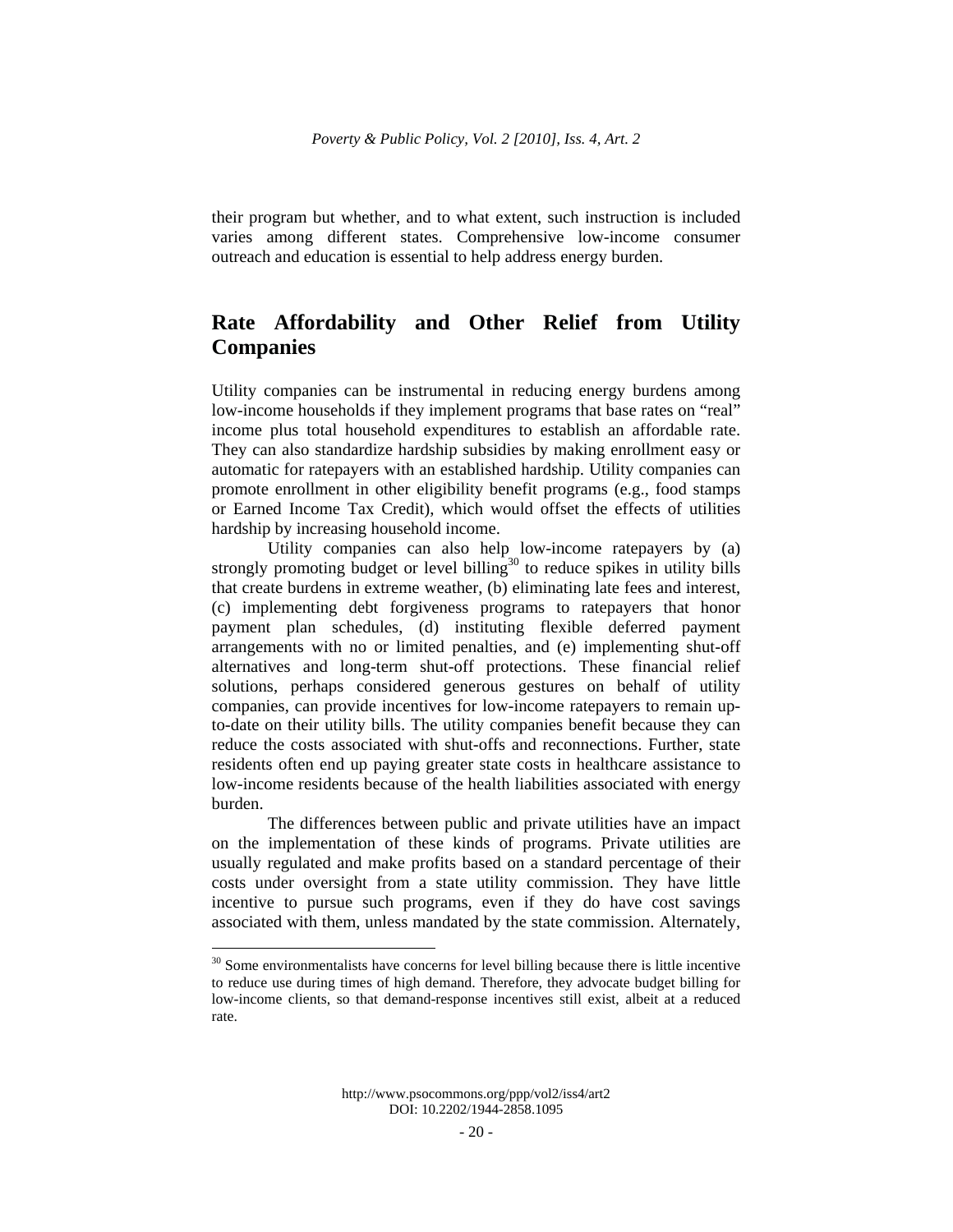their program but whether, and to what extent, such instruction is included varies among different states. Comprehensive low-income consumer outreach and education is essential to help address energy burden.

## **Rate Affordability and Other Relief from Utility Companies**

Utility companies can be instrumental in reducing energy burdens among low-income households if they implement programs that base rates on "real" income plus total household expenditures to establish an affordable rate. They can also standardize hardship subsidies by making enrollment easy or automatic for ratepayers with an established hardship. Utility companies can promote enrollment in other eligibility benefit programs (e.g., food stamps or Earned Income Tax Credit), which would offset the effects of utilities hardship by increasing household income.

Utility companies can also help low-income ratepayers by (a) strongly promoting budget or level billing<sup>30</sup> to reduce spikes in utility bills that create burdens in extreme weather, (b) eliminating late fees and interest, (c) implementing debt forgiveness programs to ratepayers that honor payment plan schedules, (d) instituting flexible deferred payment arrangements with no or limited penalties, and (e) implementing shut-off alternatives and long-term shut-off protections. These financial relief solutions, perhaps considered generous gestures on behalf of utility companies, can provide incentives for low-income ratepayers to remain upto-date on their utility bills. The utility companies benefit because they can reduce the costs associated with shut-offs and reconnections. Further, state residents often end up paying greater state costs in healthcare assistance to low-income residents because of the health liabilities associated with energy burden.

The differences between public and private utilities have an impact on the implementation of these kinds of programs. Private utilities are usually regulated and make profits based on a standard percentage of their costs under oversight from a state utility commission. They have little incentive to pursue such programs, even if they do have cost savings associated with them, unless mandated by the state commission. Alternately,

 $\overline{a}$ 

 $30$  Some environmentalists have concerns for level billing because there is little incentive to reduce use during times of high demand. Therefore, they advocate budget billing for low-income clients, so that demand-response incentives still exist, albeit at a reduced rate.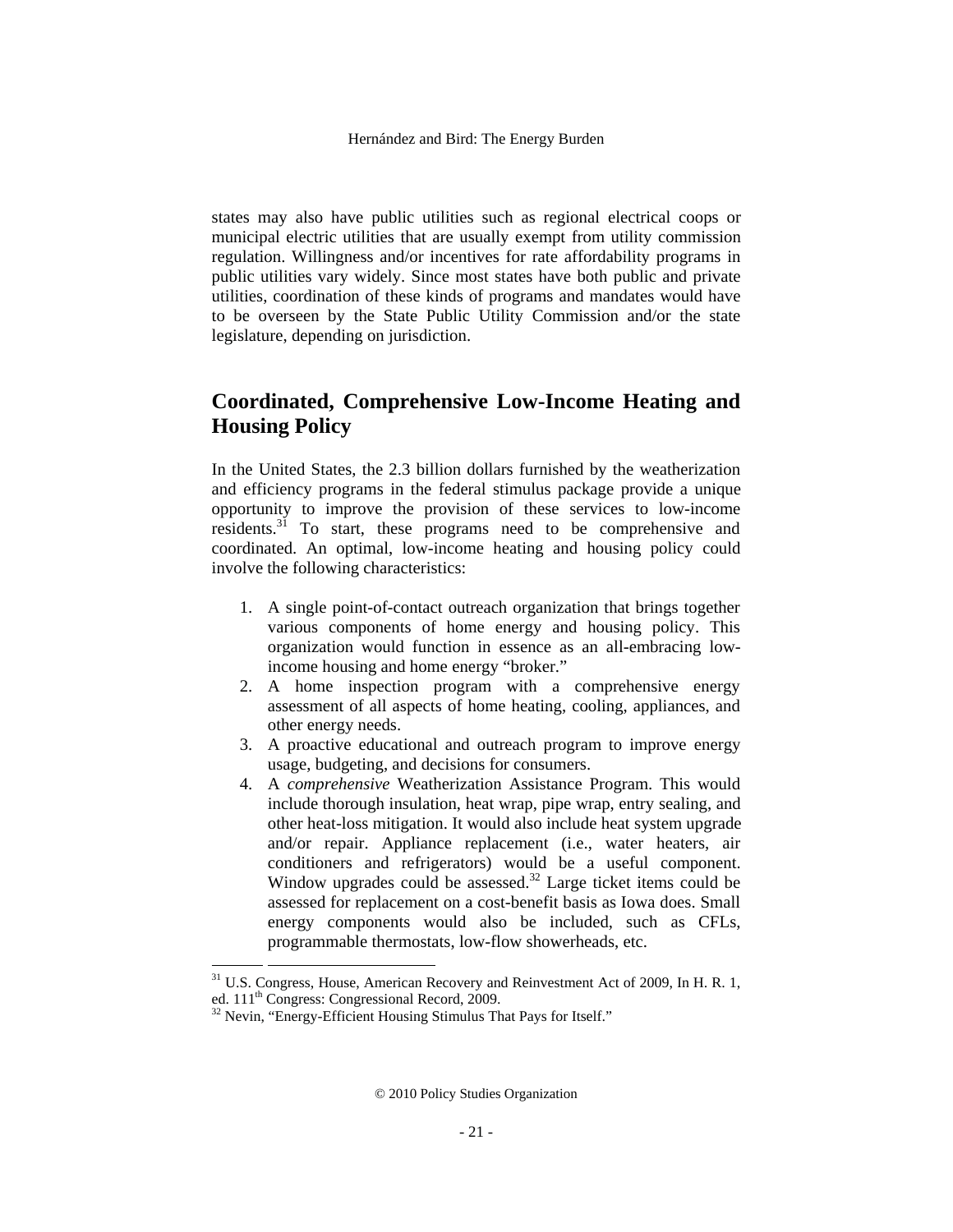states may also have public utilities such as regional electrical coops or municipal electric utilities that are usually exempt from utility commission regulation. Willingness and/or incentives for rate affordability programs in public utilities vary widely. Since most states have both public and private utilities, coordination of these kinds of programs and mandates would have to be overseen by the State Public Utility Commission and/or the state legislature, depending on jurisdiction.

### **Coordinated, Comprehensive Low-Income Heating and Housing Policy**

In the United States, the 2.3 billion dollars furnished by the weatherization and efficiency programs in the federal stimulus package provide a unique opportunity to improve the provision of these services to low-income residents.<sup>31</sup> To start, these programs need to be comprehensive and coordinated. An optimal, low-income heating and housing policy could involve the following characteristics:

- 1. A single point-of-contact outreach organization that brings together various components of home energy and housing policy. This organization would function in essence as an all-embracing lowincome housing and home energy "broker."
- 2. A home inspection program with a comprehensive energy assessment of all aspects of home heating, cooling, appliances, and other energy needs.
- 3. A proactive educational and outreach program to improve energy usage, budgeting, and decisions for consumers.
- 4. A *comprehensive* Weatherization Assistance Program. This would include thorough insulation, heat wrap, pipe wrap, entry sealing, and other heat-loss mitigation. It would also include heat system upgrade and/or repair. Appliance replacement (i.e., water heaters, air conditioners and refrigerators) would be a useful component. Window upgrades could be assessed.<sup>32</sup> Large ticket items could be assessed for replacement on a cost-benefit basis as Iowa does. Small energy components would also be included, such as CFLs, programmable thermostats, low-flow showerheads, etc.

© 2010 Policy Studies Organization

 $31$  U.S. Congress, House, American Recovery and Reinvestment Act of 2009, In H. R. 1, ed.  $111<sup>th</sup>$  Congress: Congressional Record, 2009.

 $132$  Nevin, "Energy-Efficient Housing Stimulus That Pays for Itself."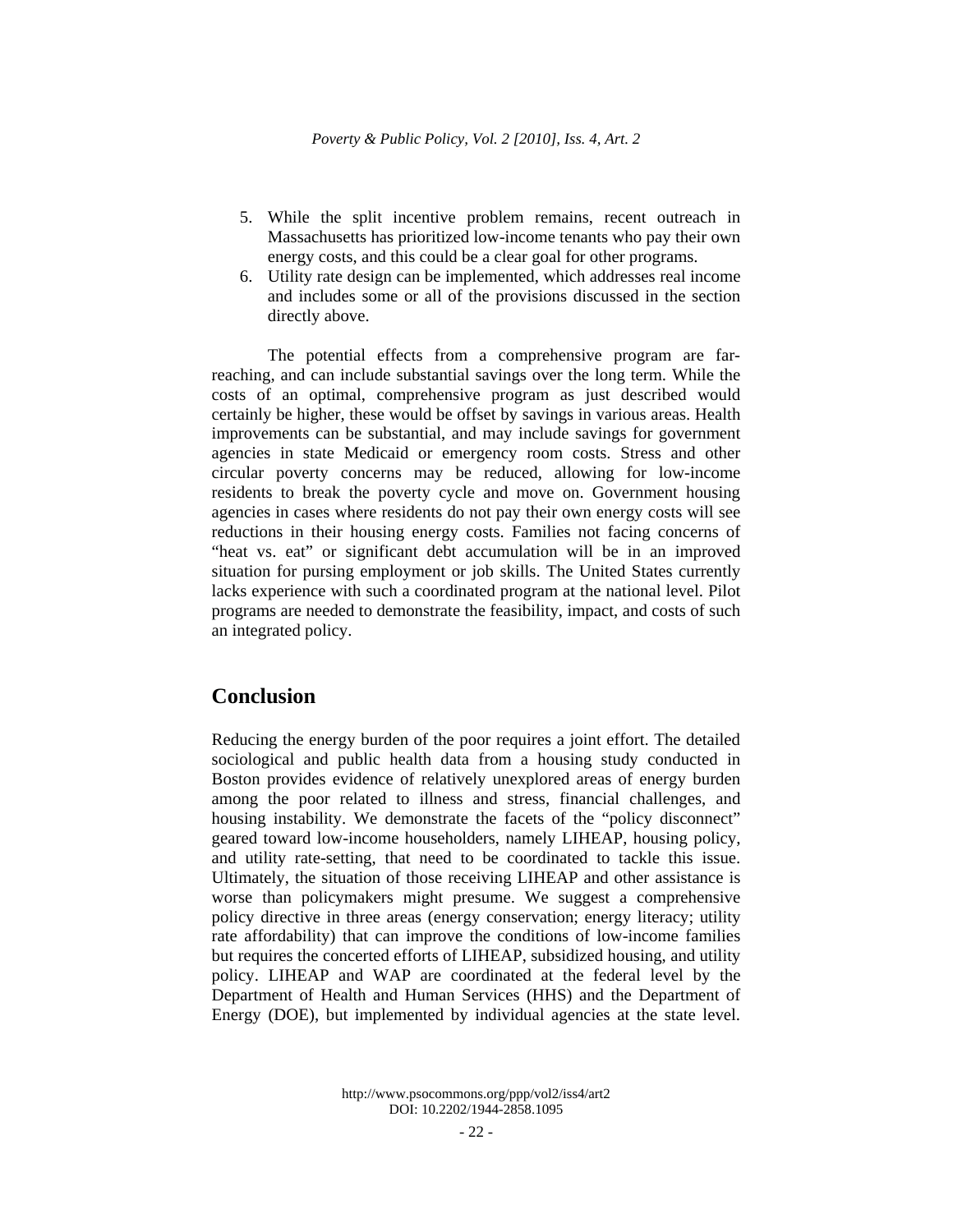- 5. While the split incentive problem remains, recent outreach in Massachusetts has prioritized low-income tenants who pay their own energy costs, and this could be a clear goal for other programs.
- 6. Utility rate design can be implemented, which addresses real income and includes some or all of the provisions discussed in the section directly above.

The potential effects from a comprehensive program are farreaching, and can include substantial savings over the long term. While the costs of an optimal, comprehensive program as just described would certainly be higher, these would be offset by savings in various areas. Health improvements can be substantial, and may include savings for government agencies in state Medicaid or emergency room costs. Stress and other circular poverty concerns may be reduced, allowing for low-income residents to break the poverty cycle and move on. Government housing agencies in cases where residents do not pay their own energy costs will see reductions in their housing energy costs. Families not facing concerns of "heat vs. eat" or significant debt accumulation will be in an improved situation for pursing employment or job skills. The United States currently lacks experience with such a coordinated program at the national level. Pilot programs are needed to demonstrate the feasibility, impact, and costs of such an integrated policy.

#### **Conclusion**

Reducing the energy burden of the poor requires a joint effort. The detailed sociological and public health data from a housing study conducted in Boston provides evidence of relatively unexplored areas of energy burden among the poor related to illness and stress, financial challenges, and housing instability. We demonstrate the facets of the "policy disconnect" geared toward low-income householders, namely LIHEAP, housing policy, and utility rate-setting, that need to be coordinated to tackle this issue. Ultimately, the situation of those receiving LIHEAP and other assistance is worse than policymakers might presume. We suggest a comprehensive policy directive in three areas (energy conservation; energy literacy; utility rate affordability) that can improve the conditions of low-income families but requires the concerted efforts of LIHEAP, subsidized housing, and utility policy. LIHEAP and WAP are coordinated at the federal level by the Department of Health and Human Services (HHS) and the Department of Energy (DOE), but implemented by individual agencies at the state level.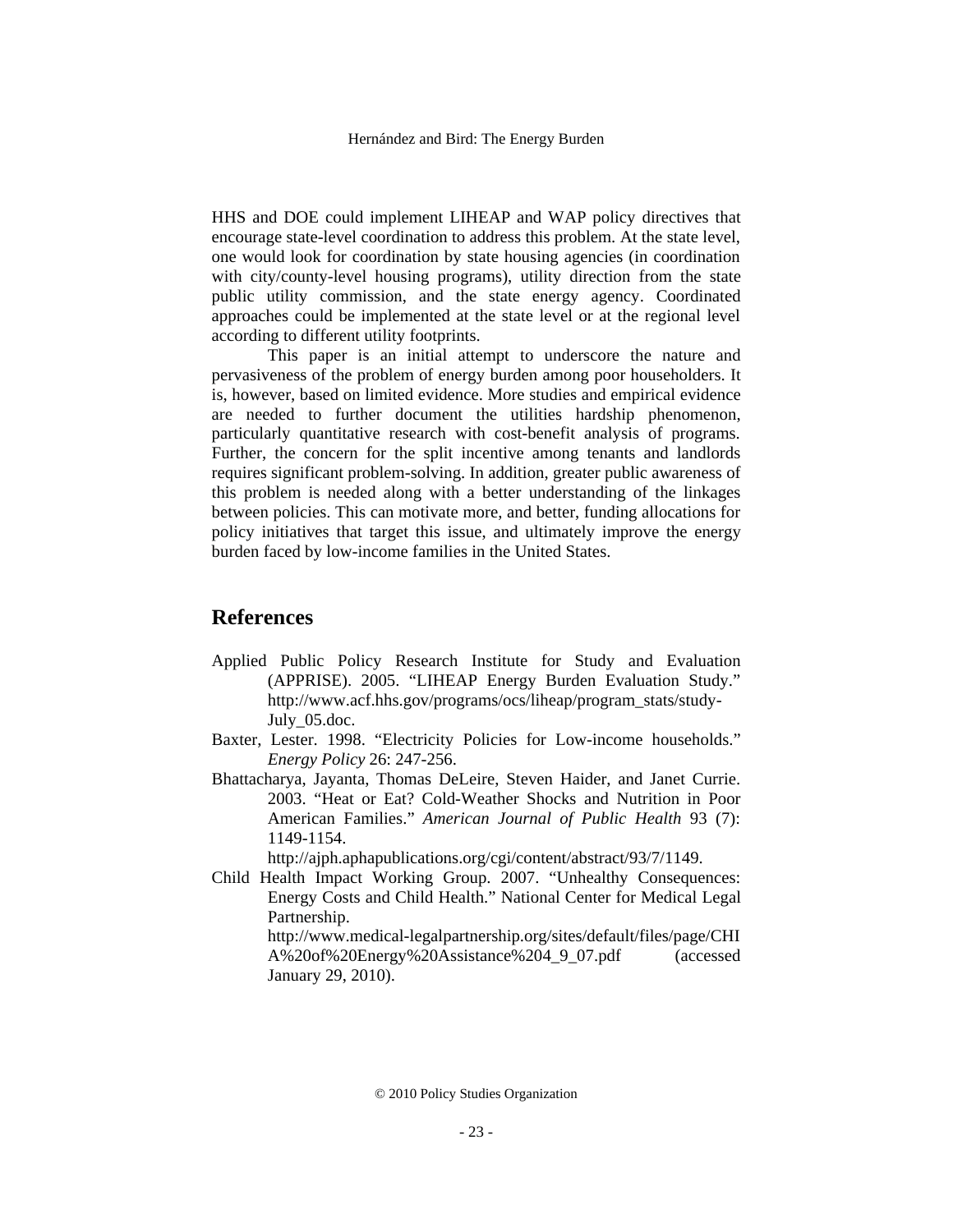HHS and DOE could implement LIHEAP and WAP policy directives that encourage state-level coordination to address this problem. At the state level, one would look for coordination by state housing agencies (in coordination with city/county-level housing programs), utility direction from the state public utility commission, and the state energy agency. Coordinated approaches could be implemented at the state level or at the regional level according to different utility footprints.

This paper is an initial attempt to underscore the nature and pervasiveness of the problem of energy burden among poor householders. It is, however, based on limited evidence. More studies and empirical evidence are needed to further document the utilities hardship phenomenon, particularly quantitative research with cost-benefit analysis of programs. Further, the concern for the split incentive among tenants and landlords requires significant problem-solving. In addition, greater public awareness of this problem is needed along with a better understanding of the linkages between policies. This can motivate more, and better, funding allocations for policy initiatives that target this issue, and ultimately improve the energy burden faced by low-income families in the United States.

#### **References**

- Applied Public Policy Research Institute for Study and Evaluation (APPRISE). 2005. "LIHEAP Energy Burden Evaluation Study." http://www.acf.hhs.gov/programs/ocs/liheap/program\_stats/study-July 05.doc.
- Baxter, Lester. 1998. "Electricity Policies for Low-income households." *Energy Policy* 26: 247-256.
- Bhattacharya, Jayanta, Thomas DeLeire, Steven Haider, and Janet Currie. 2003. "Heat or Eat? Cold-Weather Shocks and Nutrition in Poor American Families." *American Journal of Public Health* 93 (7): 1149-1154.

http://ajph.aphapublications.org/cgi/content/abstract/93/7/1149.

Child Health Impact Working Group. 2007. "Unhealthy Consequences: Energy Costs and Child Health." National Center for Medical Legal Partnership.

> http://www.medical-legalpartnership.org/sites/default/files/page/CHI A%20of%20Energy%20Assistance%204\_9\_07.pdf (accessed January 29, 2010).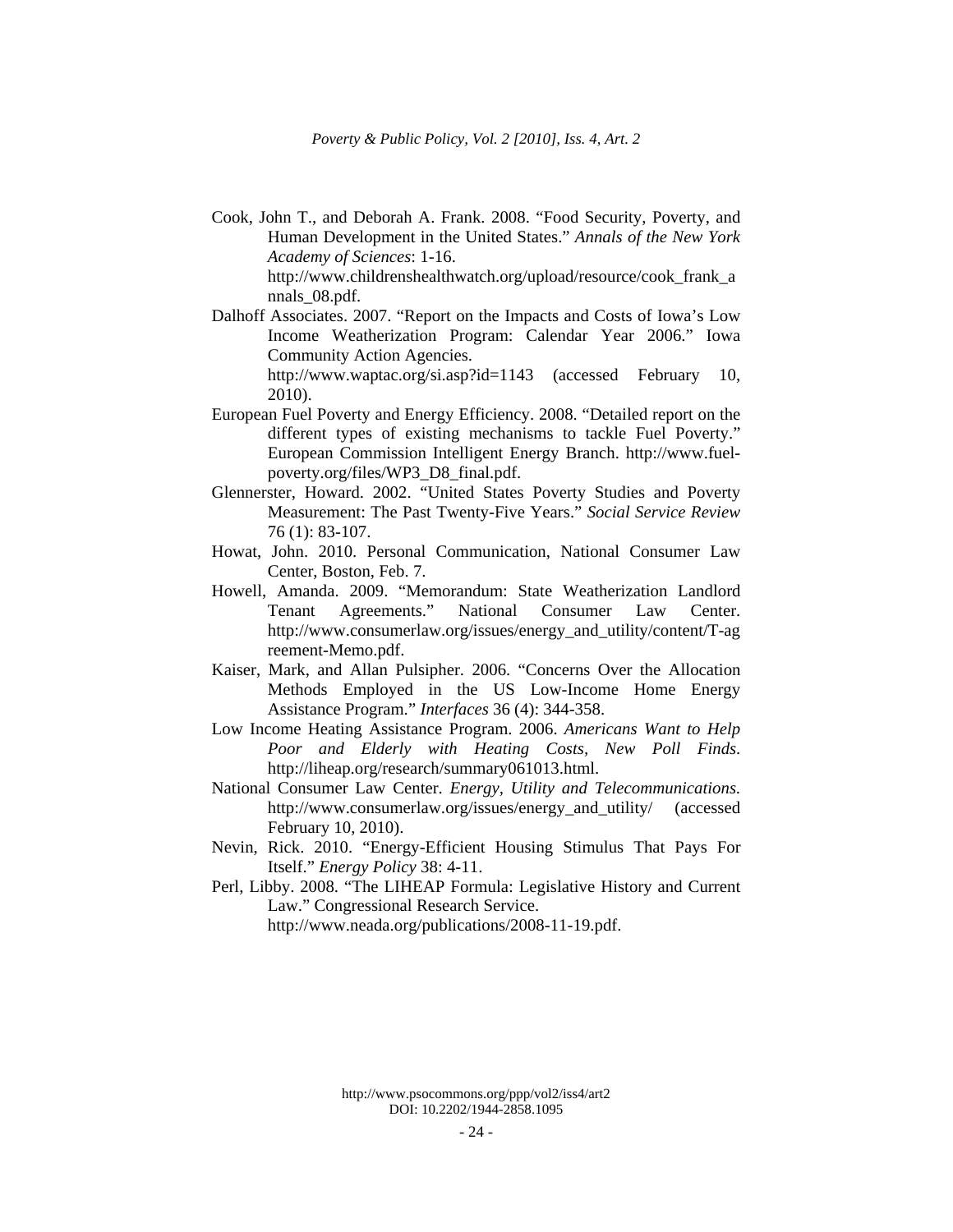Cook, John T., and Deborah A. Frank. 2008. "Food Security, Poverty, and Human Development in the United States." *Annals of the New York Academy of Sciences*: 1-16.

 http://www.childrenshealthwatch.org/upload/resource/cook\_frank\_a nnals\_08.pdf.

Dalhoff Associates. 2007. "Report on the Impacts and Costs of Iowa's Low Income Weatherization Program: Calendar Year 2006." Iowa Community Action Agencies.

 http://www.waptac.org/si.asp?id=1143 (accessed February 10, 2010).

- European Fuel Poverty and Energy Efficiency. 2008. "Detailed report on the different types of existing mechanisms to tackle Fuel Poverty." European Commission Intelligent Energy Branch. http://www.fuelpoverty.org/files/WP3\_D8\_final.pdf.
- Glennerster, Howard. 2002. "United States Poverty Studies and Poverty Measurement: The Past Twenty-Five Years." *Social Service Review* 76 (1): 83-107.
- Howat, John. 2010. Personal Communication, National Consumer Law Center, Boston, Feb. 7.
- Howell, Amanda. 2009. "Memorandum: State Weatherization Landlord Tenant Agreements." National Consumer Law Center. http://www.consumerlaw.org/issues/energy\_and\_utility/content/T-ag reement-Memo.pdf.
- Kaiser, Mark, and Allan Pulsipher. 2006. "Concerns Over the Allocation Methods Employed in the US Low-Income Home Energy Assistance Program." *Interfaces* 36 (4): 344-358.
- Low Income Heating Assistance Program. 2006. *Americans Want to Help Poor and Elderly with Heating Costs, New Poll Finds*. http://liheap.org/research/summary061013.html.
- National Consumer Law Center. *Energy, Utility and Telecommunications*. http://www.consumerlaw.org/issues/energy\_and\_utility/ (accessed February 10, 2010).
- Nevin, Rick. 2010. "Energy-Efficient Housing Stimulus That Pays For Itself." *Energy Policy* 38: 4-11.
- Perl, Libby. 2008. "The LIHEAP Formula: Legislative History and Current Law." Congressional Research Service.

http://www.neada.org/publications/2008-11-19.pdf.